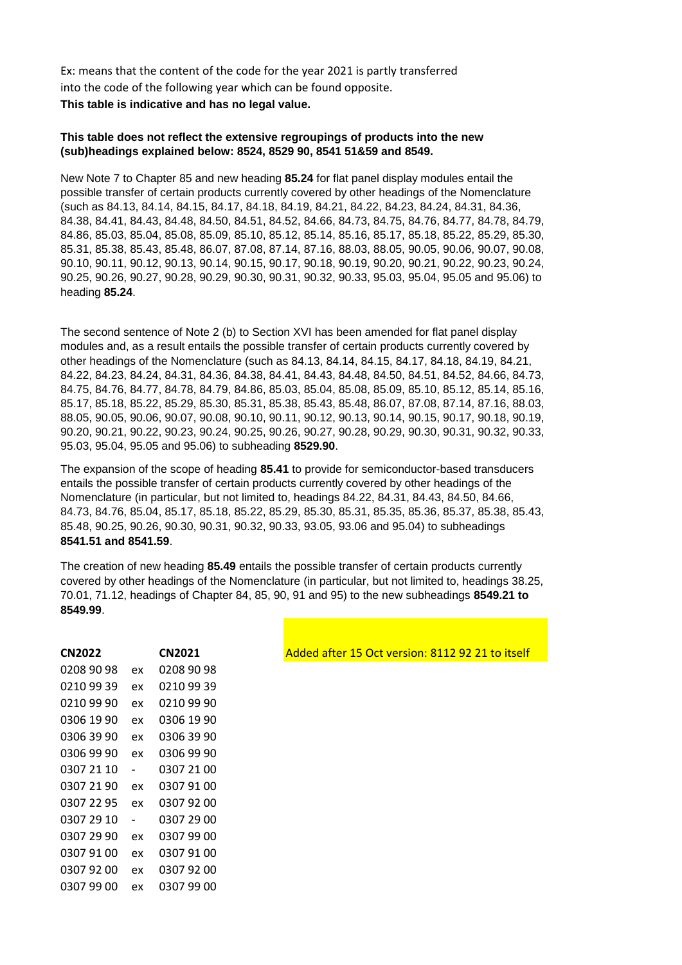Ex: means that the content of the code for the year 2021 is partly transferred into the code of the following year which can be found opposite. **This table is indicative and has no legal value.**

## **This table does not reflect the extensive regroupings of products into the new (sub)headings explained below: 8524, 8529 90, 8541 51&59 and 8549.**

New Note 7 to Chapter 85 and new heading **85.24** for flat panel display modules entail the possible transfer of certain products currently covered by other headings of the Nomenclature (such as 84.13, 84.14, 84.15, 84.17, 84.18, 84.19, 84.21, 84.22, 84.23, 84.24, 84.31, 84.36, 84.38, 84.41, 84.43, 84.48, 84.50, 84.51, 84.52, 84.66, 84.73, 84.75, 84.76, 84.77, 84.78, 84.79, 84.86, 85.03, 85.04, 85.08, 85.09, 85.10, 85.12, 85.14, 85.16, 85.17, 85.18, 85.22, 85.29, 85.30, 85.31, 85.38, 85.43, 85.48, 86.07, 87.08, 87.14, 87.16, 88.03, 88.05, 90.05, 90.06, 90.07, 90.08, 90.10, 90.11, 90.12, 90.13, 90.14, 90.15, 90.17, 90.18, 90.19, 90.20, 90.21, 90.22, 90.23, 90.24, 90.25, 90.26, 90.27, 90.28, 90.29, 90.30, 90.31, 90.32, 90.33, 95.03, 95.04, 95.05 and 95.06) to heading **85.24**.

The second sentence of Note 2 (b) to Section XVI has been amended for flat panel display modules and, as a result entails the possible transfer of certain products currently covered by other headings of the Nomenclature (such as 84.13, 84.14, 84.15, 84.17, 84.18, 84.19, 84.21, 84.22, 84.23, 84.24, 84.31, 84.36, 84.38, 84.41, 84.43, 84.48, 84.50, 84.51, 84.52, 84.66, 84.73, 84.75, 84.76, 84.77, 84.78, 84.79, 84.86, 85.03, 85.04, 85.08, 85.09, 85.10, 85.12, 85.14, 85.16, 85.17, 85.18, 85.22, 85.29, 85.30, 85.31, 85.38, 85.43, 85.48, 86.07, 87.08, 87.14, 87.16, 88.03, 88.05, 90.05, 90.06, 90.07, 90.08, 90.10, 90.11, 90.12, 90.13, 90.14, 90.15, 90.17, 90.18, 90.19, 90.20, 90.21, 90.22, 90.23, 90.24, 90.25, 90.26, 90.27, 90.28, 90.29, 90.30, 90.31, 90.32, 90.33, 95.03, 95.04, 95.05 and 95.06) to subheading **8529.90**.

The expansion of the scope of heading **85.41** to provide for semiconductor-based transducers entails the possible transfer of certain products currently covered by other headings of the Nomenclature (in particular, but not limited to, headings 84.22, 84.31, 84.43, 84.50, 84.66, 84.73, 84.76, 85.04, 85.17, 85.18, 85.22, 85.29, 85.30, 85.31, 85.35, 85.36, 85.37, 85.38, 85.43, 85.48, 90.25, 90.26, 90.30, 90.31, 90.32, 90.33, 93.05, 93.06 and 95.04) to subheadings **8541.51 and 8541.59**.

The creation of new heading **85.49** entails the possible transfer of certain products currently covered by other headings of the Nomenclature (in particular, but not limited to, headings 38.25, 70.01, 71.12, headings of Chapter 84, 85, 90, 91 and 95) to the new subheadings **8549.21 to 8549.99**.

| <b>CN2022</b> |    | <b>CN2021</b> |
|---------------|----|---------------|
| 0208 90 98    | ex | 0208 90 98    |
| 0210 99 39    | ex | 0210 99 39    |
| 0210 99 90    | ex | 0210 99 90    |
| 0306 19 90    | eх | 0306 19 90    |
| 0306 39 90    | ex | 0306 39 90    |
| 0306 99 90    | ex | 0306 99 90    |
| 0307 21 10    |    | 0307 21 00    |
| 0307 21 90    | ex | 0307 91 00    |
| 0307 22 95    | ex | 0307 92 00    |
| 0307 29 10    |    | 0307 29 00    |
| 0307 29 90    | ex | 0307 99 00    |
| 0307 91 00    | ex | 0307 91 00    |
| 0307 92 00    | ex | 0307 92 00    |
| 0307 99 00    | eх | 0307 99 00    |

Added after 15 Oct version: 8112 92 21 to itself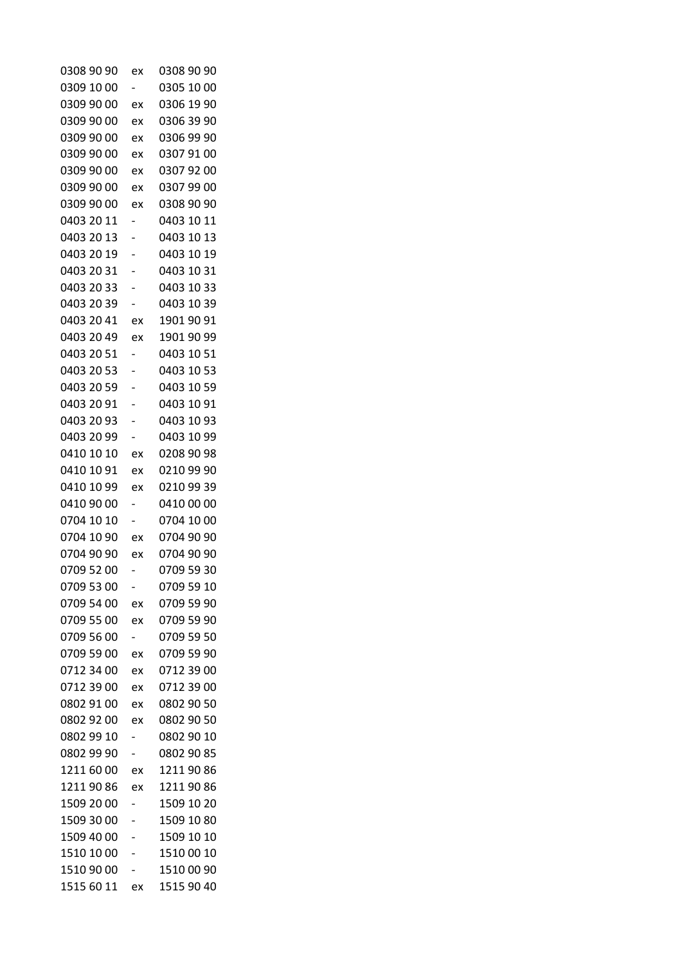| 0308 90 90 | ex | 0308 90 90 |
|------------|----|------------|
| 0309 10 00 |    | 0305 10 00 |
| 0309 90 00 | ex | 0306 19 90 |
| 0309 90 00 | ex | 0306 39 90 |
| 0309 90 00 | ex | 0306 99 90 |
| 0309 90 00 | ex | 0307 91 00 |
| 0309 90 00 | ex | 0307 92 00 |
| 0309 90 00 | ex | 0307 99 00 |
| 0309 90 00 | ex | 0308 90 90 |
| 0403 20 11 |    | 0403 10 11 |
| 0403 20 13 |    | 0403 10 13 |
| 0403 20 19 |    | 0403 10 19 |
| 0403 20 31 |    | 0403 10 31 |
| 0403 20 33 |    | 0403 10 33 |
| 0403 20 39 |    | 0403 10 39 |
| 0403 20 41 | ex | 1901 90 91 |
| 0403 20 49 | ex | 1901 90 99 |
| 0403 20 51 |    | 0403 10 51 |
| 0403 20 53 |    | 0403 10 53 |
| 0403 20 59 |    | 0403 10 59 |
| 0403 20 91 |    | 0403 10 91 |
| 0403 20 93 |    | 0403 10 93 |
| 0403 20 99 |    | 0403 10 99 |
| 0410 10 10 | ex | 0208 90 98 |
| 0410 10 91 | ex | 0210 99 90 |
| 0410 10 99 | ex | 0210 99 39 |
| 0410 90 00 |    | 0410 00 00 |
| 0704 10 10 |    | 0704 10 00 |
| 0704 10 90 | ex | 0704 90 90 |
| 0704 90 90 | ex | 0704 90 90 |
| 0709 52 00 |    | 0709 59 30 |
| 0709 53 00 |    | 0709 59 10 |
| 0709 54 00 | ex | 0709 59 90 |
| 0709 55 00 | ex | 0709 59 90 |
| 0709 56 00 |    | 0709 59 50 |
| 0709 59 00 | ex | 0709 59 90 |
| 0712 34 00 | ex | 0712 39 00 |
| 0712 39 00 | ex | 0712 39 00 |
| 0802 91 00 | ex | 0802 90 50 |
| 0802 92 00 | ex | 0802 90 50 |
| 0802 99 10 |    | 0802 90 10 |
| 0802 99 90 |    | 0802 90 85 |
| 1211 60 00 | ex | 1211 90 86 |
| 1211 90 86 | ex | 1211 90 86 |
| 1509 20 00 | -  | 1509 10 20 |
| 1509 30 00 |    | 1509 10 80 |
| 1509 40 00 |    | 1509 10 10 |
| 1510 10 00 |    | 1510 00 10 |
| 1510 90 00 |    | 1510 00 90 |
| 1515 60 11 | ex | 1515 90 40 |
|            |    |            |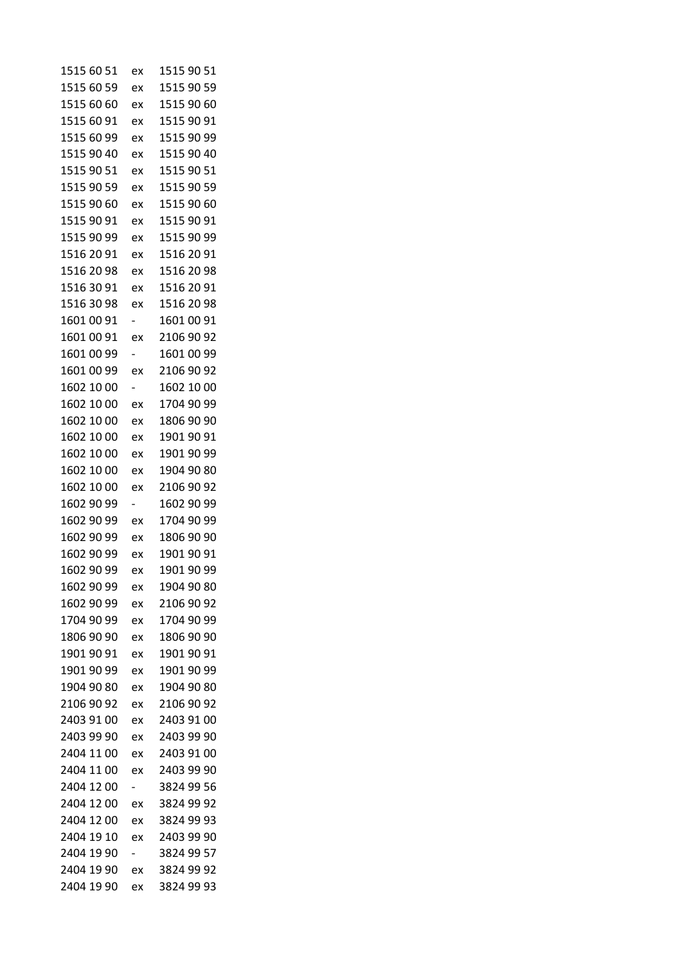| 1515 60 51 | ex                       | 1515 90 51 |
|------------|--------------------------|------------|
| 1515 60 59 | ex                       | 1515 90 59 |
| 1515 60 60 | ex                       | 1515 90 60 |
| 1515 60 91 | ex                       | 1515 90 91 |
| 1515 60 99 | ex                       | 1515 90 99 |
| 1515 90 40 | ex                       | 1515 90 40 |
| 1515 90 51 | ex                       | 1515 90 51 |
| 1515 90 59 | ex                       | 1515 90 59 |
| 1515 90 60 | ex                       | 1515 90 60 |
| 1515 90 91 | ex                       | 1515 90 91 |
| 1515 90 99 | ex                       | 1515 90 99 |
| 1516 20 91 | ex                       | 1516 20 91 |
| 1516 20 98 | ex                       | 1516 20 98 |
| 1516 30 91 | ex                       | 1516 20 91 |
| 1516 30 98 | ex                       | 1516 20 98 |
| 1601 00 91 | -                        | 1601 00 91 |
| 1601 00 91 | ex                       | 2106 90 92 |
| 1601 00 99 | $\overline{\phantom{0}}$ | 1601 00 99 |
| 1601 00 99 | ex                       | 2106 90 92 |
| 1602 10 00 | -                        | 1602 10 00 |
| 1602 10 00 | ex                       | 1704 90 99 |
| 1602 10 00 | ex                       | 1806 90 90 |
| 1602 10 00 | ex                       | 1901 90 91 |
| 1602 10 00 | ex                       | 1901 90 99 |
| 1602 10 00 | ex                       | 1904 90 80 |
| 1602 10 00 | ex                       | 2106 90 92 |
| 1602 90 99 | $\overline{\phantom{0}}$ | 1602 90 99 |
| 1602 90 99 | ex                       | 1704 90 99 |
| 1602 90 99 | ex                       | 1806 90 90 |
| 1602 90 99 | ex                       | 1901 90 91 |
| 1602 90 99 | ex                       | 1901 90 99 |
| 1602 90 99 | ex                       | 1904 90 80 |
| 1602 90 99 | ex                       | 2106 90 92 |
| 1704 90 99 |                          | 1704 90 99 |
| 1806 90 90 | ex                       | 1806 90 90 |
| 1901 90 91 | ex                       | 1901 90 91 |
|            | ex                       |            |
| 1901 90 99 | ex                       | 1901 90 99 |
| 1904 90 80 | ex                       | 1904 90 80 |
| 2106 90 92 | ex                       | 2106 90 92 |
| 2403 91 00 | ex                       | 2403 91 00 |
| 2403 99 90 | ex                       | 2403 99 90 |
| 2404 11 00 | ex                       | 2403 91 00 |
| 2404 11 00 | ex                       | 2403 99 90 |
| 2404 12 00 |                          | 3824 99 56 |
| 2404 12 00 | ex                       | 3824 99 92 |
| 2404 12 00 | ex                       | 3824 99 93 |
| 2404 19 10 | ex                       | 2403 99 90 |
| 2404 19 90 | -                        | 3824 99 57 |
| 2404 19 90 | ex                       | 3824 99 92 |
| 2404 19 90 | ex                       | 3824 99 93 |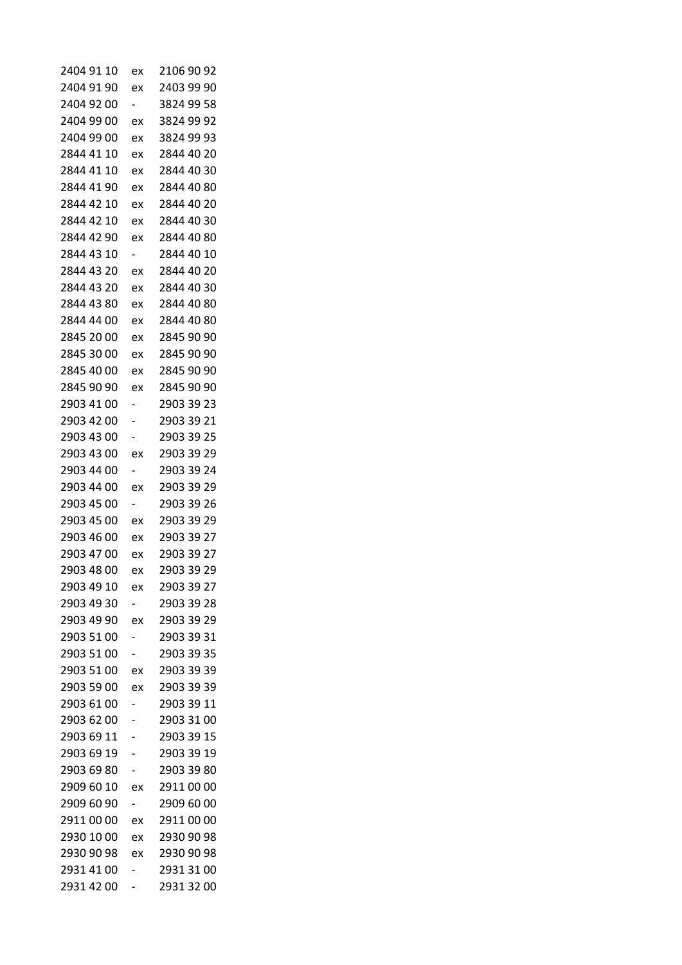| 2404 91 10 | ex                       | 2106 90 92 |
|------------|--------------------------|------------|
| 2404 91 90 | ex                       | 2403 99 90 |
| 2404 92 00 | $\overline{\phantom{0}}$ | 3824 99 58 |
| 2404 99 00 | ex                       | 3824 99 92 |
| 2404 99 00 | ex                       | 3824 99 93 |
| 2844 41 10 | ex                       | 2844 40 20 |
| 2844 41 10 | ex                       | 2844 40 30 |
| 2844 41 90 | ex                       | 2844 40 80 |
| 2844 42 10 | ex                       | 2844 40 20 |
| 2844 42 10 | ex                       | 2844 40 30 |
| 2844 42 90 | ex                       | 2844 40 80 |
| 2844 43 10 | $\overline{\phantom{0}}$ | 2844 40 10 |
| 2844 43 20 | ex                       | 2844 40 20 |
| 2844 43 20 | ex                       | 2844 40 30 |
| 2844 43 80 | ex                       | 2844 40 80 |
| 2844 44 00 | ex                       | 2844 40 80 |
| 2845 20 00 | ex                       | 2845 90 90 |
| 2845 30 00 | ex                       | 2845 90 90 |
| 2845 40 00 | ex                       | 2845 90 90 |
| 2845 90 90 | ex                       | 2845 90 90 |
| 2903 41 00 |                          | 2903 39 23 |
| 2903 42 00 |                          | 2903 39 21 |
| 2903 43 00 |                          | 2903 39 25 |
| 2903 43 00 | ex                       | 2903 39 29 |
| 2903 44 00 |                          | 2903 39 24 |
| 2903 44 00 | ex                       | 2903 39 29 |
| 2903 45 00 | $\overline{\phantom{0}}$ | 2903 39 26 |
| 2903 45 00 | ex                       | 2903 39 29 |
| 2903 46 00 | ex                       | 2903 39 27 |
| 2903 47 00 | ex                       | 2903 39 27 |
| 2903 48 00 | ex                       | 2903 39 29 |
| 2903 49 10 | ex                       | 2903 39 27 |
| 2903 49 30 |                          | 2903 39 28 |
| 2903 49 90 | ex                       | 2903 39 29 |
| 2903 51 00 |                          | 2903 39 31 |
| 2903 51 00 |                          | 2903 39 35 |
| 2903 51 00 | ex                       | 2903 39 39 |
| 2903 59 00 | ex                       | 2903 39 39 |
| 2903 61 00 |                          | 2903 39 11 |
| 2903 62 00 | -                        | 2903 31 00 |
| 2903 69 11 |                          | 2903 39 15 |
| 2903 69 19 |                          | 2903 39 19 |
| 2903 69 80 |                          | 2903 39 80 |
| 2909 60 10 | ex                       | 2911 00 00 |
| 2909 60 90 | $\overline{\phantom{0}}$ | 2909 60 00 |
| 2911 00 00 | ex                       | 2911 00 00 |
| 2930 10 00 | ex                       | 2930 90 98 |
| 2930 90 98 | ex                       | 2930 90 98 |
| 2931 41 00 |                          | 2931 31 00 |
| 2931 42 00 |                          | 2931 32 00 |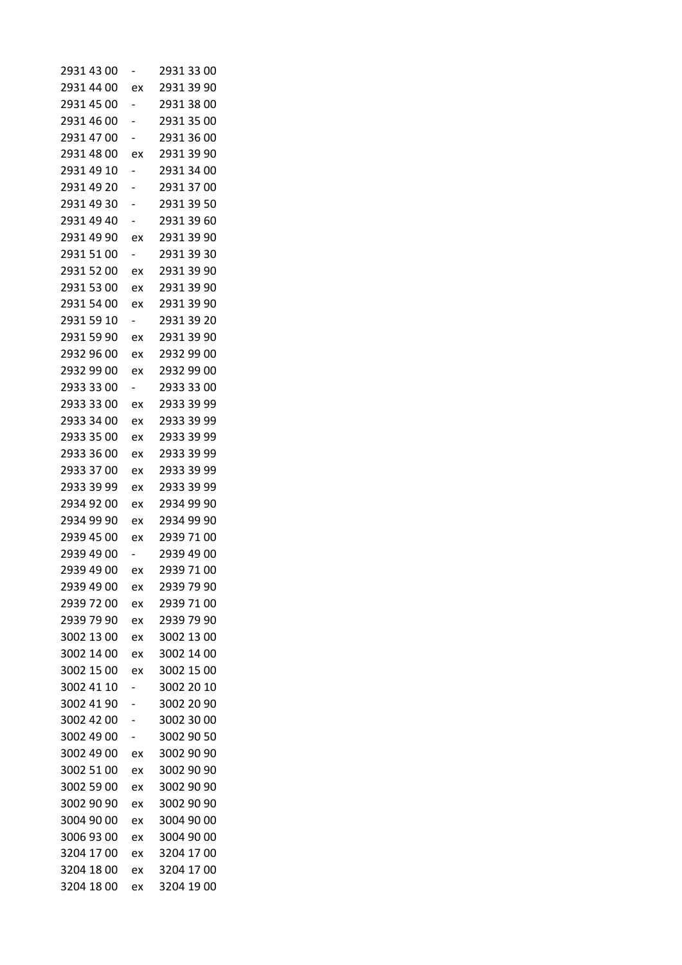| 2931 43 00 |                          | 2931 33 00 |
|------------|--------------------------|------------|
| 2931 44 00 | ex                       | 2931 39 90 |
| 2931 45 00 |                          | 2931 38 00 |
| 2931 46 00 |                          | 2931 35 00 |
| 2931 47 00 |                          | 2931 36 00 |
| 2931 48 00 | ex                       | 2931 39 90 |
| 2931 49 10 |                          | 2931 34 00 |
| 2931 49 20 |                          | 2931 37 00 |
| 2931 49 30 |                          | 2931 39 50 |
| 2931 49 40 |                          | 2931 39 60 |
| 2931 49 90 | ex                       | 2931 39 90 |
| 2931 51 00 | -                        | 2931 39 30 |
| 2931 52 00 | ex                       | 2931 39 90 |
| 2931 53 00 | ex                       | 2931 39 90 |
| 2931 54 00 | ex                       | 2931 39 90 |
| 2931 59 10 | -                        | 2931 39 20 |
| 2931 59 90 | ex                       | 2931 39 90 |
| 2932 96 00 | ex                       | 2932 99 00 |
| 2932 99 00 | ex                       | 2932 99 00 |
| 2933 33 00 | $\overline{\phantom{0}}$ | 2933 33 00 |
| 2933 33 00 | ex                       | 2933 39 99 |
| 2933 34 00 | ex                       | 2933 39 99 |
| 2933 35 00 | ex                       | 2933 39 99 |
| 2933 36 00 | ex                       | 2933 39 99 |
| 2933 37 00 | ex                       | 2933 39 99 |
| 2933 39 99 | ex                       | 2933 39 99 |
| 2934 92 00 | ex                       | 2934 99 90 |
| 2934 99 90 | ex                       | 2934 99 90 |
| 2939 45 00 | ex                       | 2939 71 00 |
| 2939 49 00 |                          | 2939 49 00 |
| 2939 49 00 | ex                       | 2939 71 00 |
| 2939 49 00 | ex                       | 2939 79 90 |
| 2939 72 00 | ex                       | 2939 71 00 |
| 2939 79 90 | ex                       | 2939 79 90 |
| 3002 13 00 | ex                       | 3002 13 00 |
| 3002 14 00 | ex                       | 3002 14 00 |
| 3002 15 00 | ex                       | 3002 15 00 |
| 3002 41 10 |                          | 3002 20 10 |
| 3002 41 90 |                          | 3002 20 90 |
| 3002 42 00 |                          | 3002 30 00 |
| 3002 49 00 |                          | 3002 90 50 |
| 3002 49 00 | ex                       | 3002 90 90 |
| 3002 51 00 | ex                       | 3002 90 90 |
| 3002 59 00 | ex                       | 3002 90 90 |
| 3002 90 90 | ex                       | 3002 90 90 |
| 3004 90 00 | ex                       | 3004 90 00 |
| 3006 93 00 | ex                       | 3004 90 00 |
| 3204 17 00 | ex                       | 3204 17 00 |
| 3204 18 00 | ex                       | 3204 17 00 |
| 3204 18 00 | ex                       | 3204 19 00 |
|            |                          |            |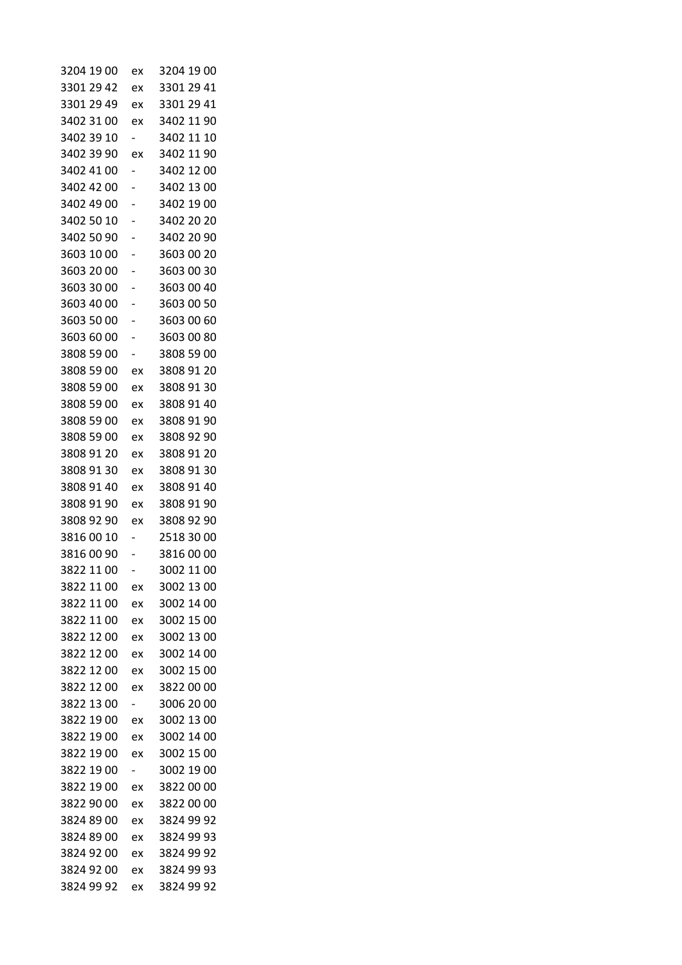| 3204 19 00 | ex                       | 3204 19 00 |
|------------|--------------------------|------------|
| 3301 29 42 | ex                       | 3301 29 41 |
| 3301 29 49 | ex                       | 3301 29 41 |
| 3402 31 00 | ex                       | 3402 11 90 |
| 3402 39 10 |                          | 3402 11 10 |
| 3402 39 90 | ex                       | 3402 11 90 |
| 3402 41 00 | -                        | 3402 12 00 |
| 3402 42 00 |                          | 3402 13 00 |
| 3402 49 00 |                          | 3402 19 00 |
| 3402 50 10 |                          | 3402 20 20 |
| 3402 50 90 |                          | 3402 20 90 |
| 3603 10 00 |                          | 3603 00 20 |
| 3603 20 00 |                          | 3603 00 30 |
| 3603 30 00 |                          | 3603 00 40 |
| 3603 40 00 |                          | 3603 00 50 |
| 3603 50 00 |                          | 3603 00 60 |
| 3603 60 00 |                          | 3603 00 80 |
| 3808 59 00 |                          | 3808 59 00 |
| 3808 59 00 | ex                       | 3808 91 20 |
| 3808 59 00 | ex                       | 3808 91 30 |
| 3808 59 00 | ex                       | 3808 91 40 |
| 3808 59 00 | ex                       | 3808 91 90 |
| 3808 59 00 | ex                       | 3808 92 90 |
| 3808 91 20 | ex                       | 3808 91 20 |
| 3808 91 30 | ex                       | 3808 91 30 |
| 3808 91 40 | ex                       | 3808 91 40 |
| 3808 91 90 | ex                       | 3808 91 90 |
| 3808 92 90 | ex                       | 3808 92 90 |
| 38160010   |                          | 2518 30 00 |
| 38160090   |                          | 3816 00 00 |
| 3822 11 00 |                          | 3002 11 00 |
| 3822 11 00 | ex                       | 3002 13 00 |
| 3822 11 00 | ex                       | 3002 14 00 |
| 3822 11 00 | ex                       | 3002 15 00 |
| 3822 12 00 | ex                       | 3002 13 00 |
| 3822 12 00 | ex                       | 3002 14 00 |
| 3822 12 00 | ex                       | 3002 15 00 |
| 3822 12 00 | ex                       | 3822 00 00 |
| 3822 13 00 | $\overline{\phantom{0}}$ | 3006 20 00 |
| 3822 19 00 | ex                       | 3002 13 00 |
| 3822 19 00 | ex                       | 3002 14 00 |
| 3822 19 00 | ex                       | 3002 15 00 |
| 3822 19 00 | Ξ.                       | 3002 19 00 |
| 3822 19 00 | ex                       | 3822 00 00 |
| 3822 90 00 | ex                       | 3822 00 00 |
| 3824 89 00 | ex                       | 3824 99 92 |
| 3824 89 00 | ex                       | 3824 99 93 |
| 3824 92 00 | ex                       | 3824 99 92 |
| 3824 92 00 | ex                       | 3824 99 93 |
| 3824 99 92 | ex                       | 3824 99 92 |
|            |                          |            |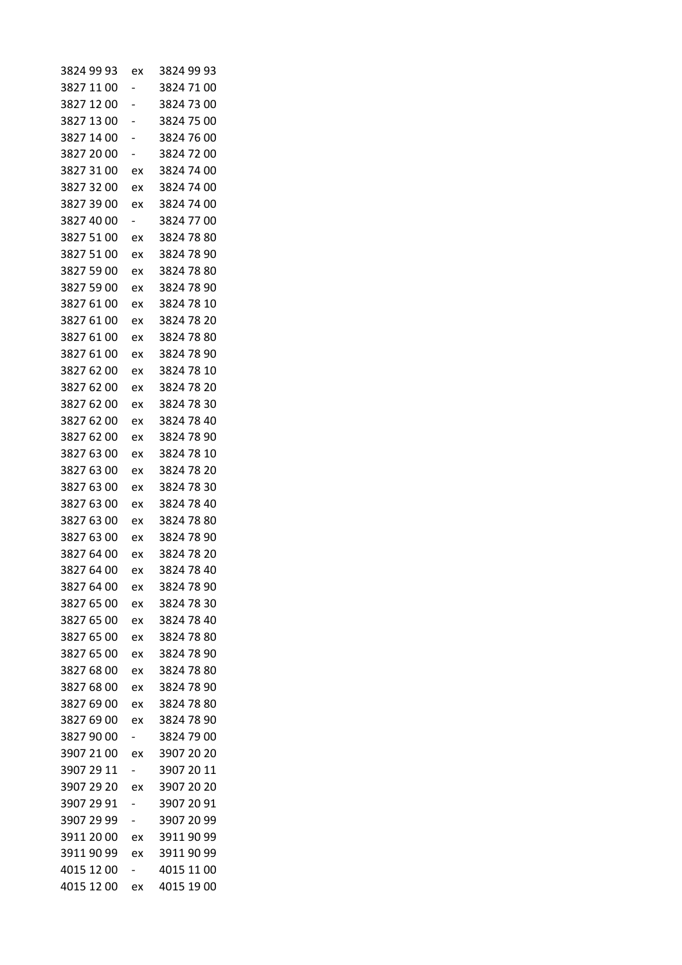| 3824 99 93 | ex                       | 3824 99 93 |
|------------|--------------------------|------------|
| 3827 11 00 |                          | 3824 71 00 |
| 3827 12 00 |                          | 3824 73 00 |
| 3827 13 00 |                          | 3824 75 00 |
| 3827 14 00 |                          | 3824 76 00 |
| 3827 20 00 |                          | 3824 72 00 |
| 3827 31 00 | ex                       | 3824 74 00 |
| 3827 32 00 | ex                       | 3824 74 00 |
| 3827 39 00 | ex                       | 3824 74 00 |
| 3827 40 00 | -                        | 3824 77 00 |
| 3827 51 00 | ex                       | 3824 78 80 |
| 3827 51 00 | ex                       | 3824 78 90 |
| 3827 59 00 | ex                       | 3824 78 80 |
| 3827 59 00 | ex                       | 3824 78 90 |
| 3827 61 00 | ex                       | 3824 78 10 |
| 3827 61 00 | ex                       | 3824 78 20 |
| 3827 61 00 | ex                       | 3824 78 80 |
| 3827 61 00 | ex                       | 3824 78 90 |
| 3827 62 00 | ex                       | 3824 78 10 |
| 3827 62 00 | ex                       | 3824 78 20 |
| 3827 62 00 | ex                       | 3824 78 30 |
| 3827 62 00 | ex                       | 3824 78 40 |
| 3827 62 00 | ex                       | 3824 78 90 |
| 3827 63 00 | ex                       | 3824 78 10 |
| 3827 63 00 | ex                       | 3824 78 20 |
| 3827 63 00 | ex                       | 3824 78 30 |
| 3827 63 00 | ex                       | 3824 78 40 |
| 3827 63 00 | ex                       | 3824 78 80 |
| 3827 63 00 | ex                       | 3824 78 90 |
| 3827 64 00 | ex                       | 3824 78 20 |
| 3827 64 00 | ex                       | 3824 78 40 |
| 3827 64 00 | ex                       | 3824 78 90 |
| 3827 65 00 | ex                       | 3824 78 30 |
| 3827 65 00 | ex                       | 3824 78 40 |
| 3827 65 00 | ex                       | 3824 78 80 |
| 3827 65 00 | ex                       | 3824 78 90 |
| 3827 68 00 | ex                       | 3824 78 80 |
| 3827 68 00 | ex                       | 3824 78 90 |
| 3827 69 00 | ex                       | 3824 78 80 |
| 3827 69 00 | ex                       | 3824 78 90 |
| 3827 90 00 | Ξ.                       | 3824 79 00 |
| 3907 21 00 | ex                       | 3907 20 20 |
| 3907 29 11 | $\overline{\phantom{0}}$ | 3907 20 11 |
| 3907 29 20 | ex                       | 3907 20 20 |
| 3907 29 91 |                          | 3907 20 91 |
| 3907 29 99 |                          | 3907 20 99 |
| 3911 20 00 | ex                       | 3911 90 99 |
| 3911 90 99 | ex                       | 3911 90 99 |
| 4015 12 00 |                          | 4015 11 00 |
| 4015 12 00 | ex                       | 4015 19 00 |
|            |                          |            |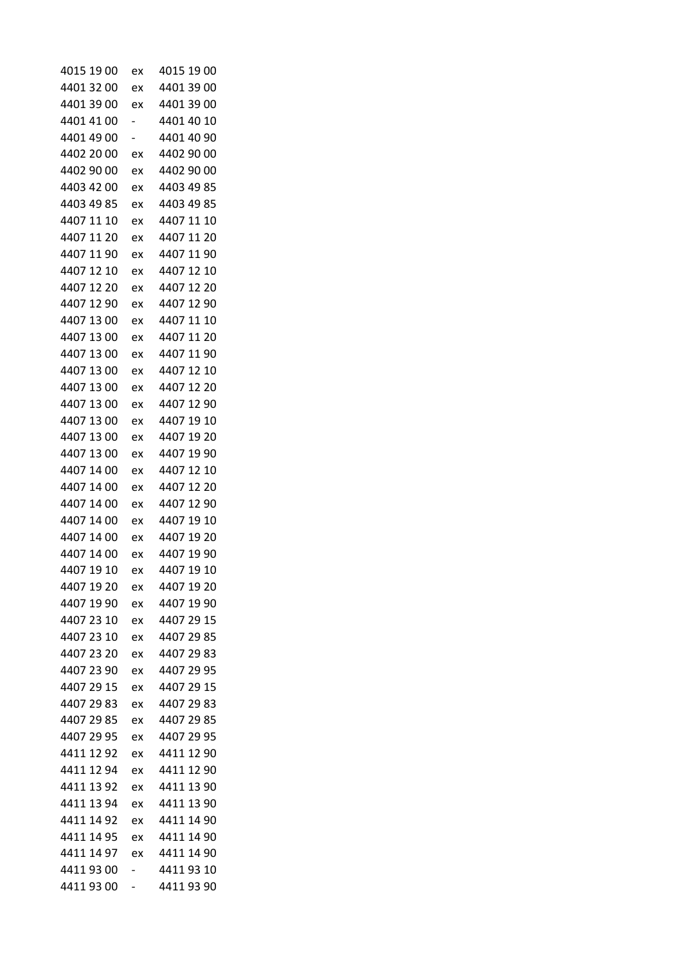| 4015 19 00 | ex | 4015 19 00 |
|------------|----|------------|
| 4401 32 00 | ex | 4401 39 00 |
| 4401 39 00 | ex | 4401 39 00 |
| 4401 41 00 |    | 4401 40 10 |
| 4401 49 00 | -  | 4401 40 90 |
| 4402 20 00 | ex | 4402 90 00 |
| 4402 90 00 | ex | 4402 90 00 |
| 4403 42 00 | ex | 4403 49 85 |
| 4403 49 85 | ex | 4403 49 85 |
| 4407 11 10 | ex | 4407 11 10 |
| 4407 11 20 | ex | 4407 11 20 |
| 4407 11 90 | ex | 4407 11 90 |
| 4407 12 10 | ex | 4407 12 10 |
| 4407 12 20 | ex | 4407 12 20 |
| 4407 12 90 | ex | 4407 12 90 |
| 4407 13 00 | ex | 4407 11 10 |
| 4407 13 00 | ex | 4407 11 20 |
| 4407 13 00 | ex | 4407 11 90 |
| 4407 13 00 | ex | 4407 12 10 |
| 4407 13 00 | ex | 4407 12 20 |
| 4407 13 00 | ex | 4407 12 90 |
| 4407 13 00 | ex | 4407 19 10 |
| 4407 13 00 | ex | 4407 19 20 |
| 4407 13 00 | ex | 4407 19 90 |
| 4407 14 00 | ex | 4407 12 10 |
| 4407 14 00 | ex | 4407 12 20 |
| 4407 14 00 | ex | 4407 12 90 |
| 4407 14 00 | ex | 4407 19 10 |
| 4407 14 00 | ex | 4407 19 20 |
| 4407 14 00 | ex | 4407 19 90 |
| 4407 19 10 | ex | 4407 19 10 |
| 4407 19 20 | ex | 4407 19 20 |
| 4407 19 90 | ex | 4407 19 90 |
| 4407 23 10 | ex | 4407 29 15 |
| 4407 23 10 | ex | 4407 29 85 |
| 4407 23 20 | ex | 4407 29 83 |
| 4407 23 90 | ex | 4407 29 95 |
| 4407 29 15 | ex | 4407 29 15 |
| 4407 29 83 | ex | 4407 29 83 |
| 4407 29 85 | ex | 4407 29 85 |
| 4407 29 95 | ex | 4407 29 95 |
| 4411 12 92 | ex | 4411 12 90 |
| 4411 12 94 | ex | 4411 12 90 |
| 4411 13 92 | ex | 4411 13 90 |
| 4411 13 94 | ex | 4411 13 90 |
| 4411 14 92 | ex | 4411 14 90 |
| 4411 14 95 | ex | 4411 14 90 |
| 4411 14 97 | ex | 4411 14 90 |
| 44119300   |    | 44119310   |
| 44119300   | -  | 4411 93 90 |
|            |    |            |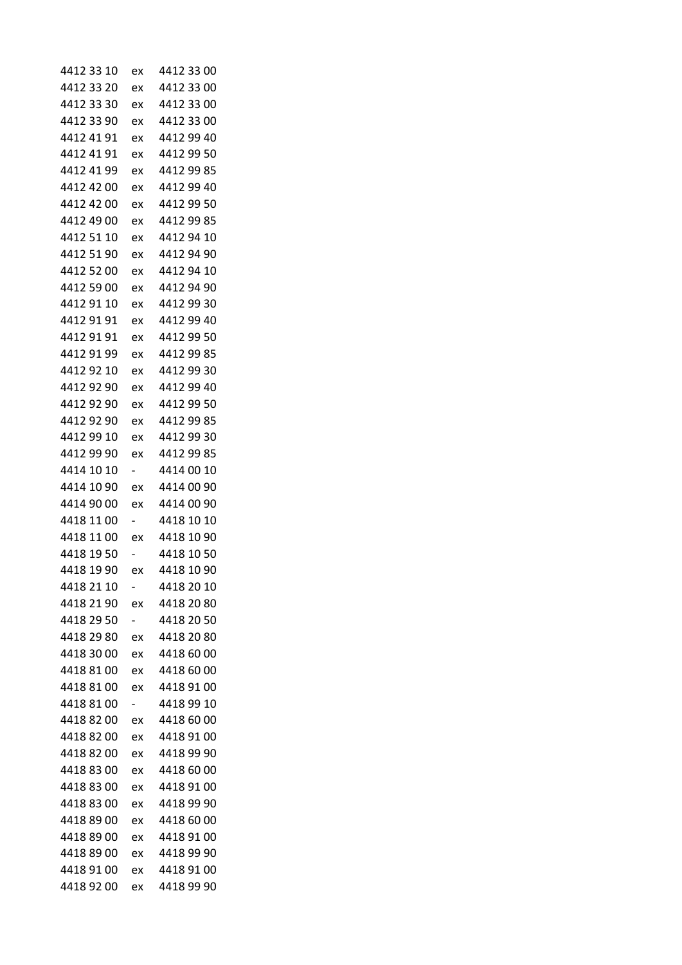| 4412 33 10 | ex                       | 4412 33 00 |
|------------|--------------------------|------------|
| 4412 33 20 | ex                       | 4412 33 00 |
| 4412 33 30 | ex                       | 4412 33 00 |
| 4412 33 90 | ex                       | 4412 33 00 |
| 4412 41 91 | ex                       | 4412 99 40 |
| 4412 41 91 | ex                       | 4412 99 50 |
| 4412 41 99 | ex                       | 4412 99 85 |
| 4412 42 00 | ex                       | 4412 99 40 |
| 4412 42 00 | ex                       | 4412 99 50 |
| 4412 49 00 | ex                       | 4412 99 85 |
| 4412 51 10 | ex                       | 4412 94 10 |
| 4412 51 90 | ex                       | 4412 94 90 |
| 4412 52 00 | ex                       | 4412 94 10 |
| 4412 59 00 | ex                       | 4412 94 90 |
| 4412 91 10 | ex                       | 4412 99 30 |
| 4412 91 91 | ex                       | 4412 99 40 |
| 4412 91 91 | ex                       | 4412 99 50 |
| 4412 91 99 | ex                       | 4412 99 85 |
| 4412 92 10 | ex                       | 4412 99 30 |
| 4412 92 90 | ex                       | 4412 99 40 |
| 4412 92 90 | ex                       | 4412 99 50 |
| 4412 92 90 | ex                       | 4412 99 85 |
| 4412 99 10 | ex                       | 4412 99 30 |
| 4412 99 90 | ex                       | 4412 99 85 |
| 4414 10 10 | $\overline{\phantom{0}}$ | 4414 00 10 |
| 4414 10 90 | ex                       | 4414 00 90 |
| 4414 90 00 | ex                       | 4414 00 90 |
| 4418 11 00 | -                        | 4418 10 10 |
| 4418 11 00 | ex                       | 4418 10 90 |
| 4418 19 50 |                          | 4418 10 50 |
| 4418 19 90 | ex                       | 4418 10 90 |
| 4418 21 10 |                          | 4418 20 10 |
| 4418 21 90 | ex                       | 4418 20 80 |
| 4418 29 50 | $\overline{\phantom{0}}$ | 4418 20 50 |
| 4418 29 80 | ex                       | 4418 20 80 |
| 4418 30 00 | ex                       | 4418 60 00 |
| 4418 81 00 | ex                       | 4418 60 00 |
| 4418 81 00 | ex                       | 4418 91 00 |
| 4418 81 00 | $\overline{\phantom{0}}$ | 4418 99 10 |
| 4418 82 00 | ex                       | 4418 60 00 |
| 4418 82 00 | ex                       | 4418 91 00 |
| 4418 82 00 | ex                       | 4418 99 90 |
| 4418 83 00 | ex                       | 4418 60 00 |
| 4418 83 00 | ex                       | 4418 91 00 |
| 4418 83 00 | ex                       | 4418 99 90 |
| 4418 89 00 | ex                       | 4418 60 00 |
| 4418 89 00 | ex                       | 4418 91 00 |
| 4418 89 00 | ex                       | 4418 99 90 |
| 4418 91 00 | ex                       | 4418 91 00 |
| 4418 92 00 | ex                       | 4418 99 90 |
|            |                          |            |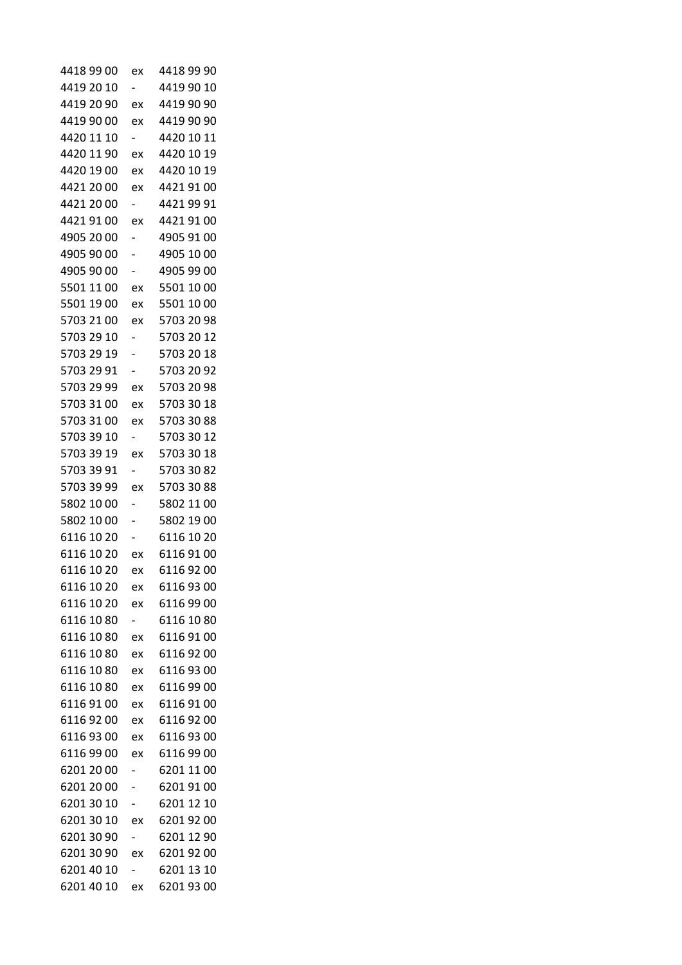| 4418 99 00 | ex                       | 4418 99 90 |
|------------|--------------------------|------------|
| 4419 20 10 | $\overline{\phantom{0}}$ | 4419 90 10 |
| 4419 20 90 | ex                       | 4419 90 90 |
| 4419 90 00 | ex                       | 4419 90 90 |
| 4420 11 10 |                          | 4420 10 11 |
| 4420 11 90 | ex                       | 4420 10 19 |
| 4420 19 00 | ex                       | 4420 10 19 |
| 4421 20 00 | ex                       | 4421 91 00 |
| 4421 20 00 | $\overline{\phantom{0}}$ | 4421 99 91 |
| 4421 91 00 | ex                       | 4421 91 00 |
| 4905 20 00 |                          | 4905 91 00 |
| 4905 90 00 | -                        | 4905 10 00 |
| 4905 90 00 | $\overline{\phantom{0}}$ | 4905 99 00 |
| 5501 11 00 | ex                       | 5501 10 00 |
| 5501 19 00 | ex                       | 5501 10 00 |
| 5703 21 00 | ex                       | 5703 20 98 |
| 5703 29 10 | $\overline{\phantom{0}}$ | 5703 20 12 |
| 5703 29 19 | -                        | 5703 20 18 |
| 5703 29 91 | -                        | 5703 20 92 |
| 5703 29 99 | ex                       | 5703 20 98 |
| 5703 31 00 | ex                       | 5703 30 18 |
| 5703 31 00 | ex                       | 5703 30 88 |
| 5703 39 10 | $\overline{\phantom{0}}$ | 5703 30 12 |
| 5703 39 19 | ex                       | 5703 30 18 |
| 5703 39 91 | -                        | 5703 30 82 |
| 5703 39 99 | ex                       | 5703 30 88 |
| 5802 10 00 |                          | 5802 11 00 |
| 5802 10 00 |                          | 5802 19 00 |
| 6116 10 20 |                          | 6116 10 20 |
| 6116 10 20 | ex                       | 6116 91 00 |
| 6116 10 20 | ex                       | 61169200   |
| 6116 10 20 | ex                       | 6116 93 00 |
| 6116 10 20 | ex                       | 6116 99 00 |
| 6116 10 80 |                          | 6116 10 80 |
| 6116 10 80 | ex                       | 6116 91 00 |
| 6116 10 80 | ex                       | 61169200   |
| 6116 10 80 | ex                       | 61169300   |
| 6116 10 80 | ex                       | 6116 99 00 |
| 6116 91 00 | ex                       | 6116 91 00 |
| 61169200   | ex                       | 6116 92 00 |
| 61169300   | ex                       | 61169300   |
| 6116 99 00 | ex                       | 6116 99 00 |
| 6201 20 00 |                          | 6201 11 00 |
| 6201 20 00 |                          | 6201 91 00 |
| 6201 30 10 | -                        | 6201 12 10 |
| 6201 30 10 | ex                       | 62019200   |
| 6201 30 90 |                          | 6201 12 90 |
| 6201 30 90 | ex                       | 6201 92 00 |
| 6201 40 10 |                          | 6201 13 10 |
| 6201 40 10 | ex                       | 6201 93 00 |
|            |                          |            |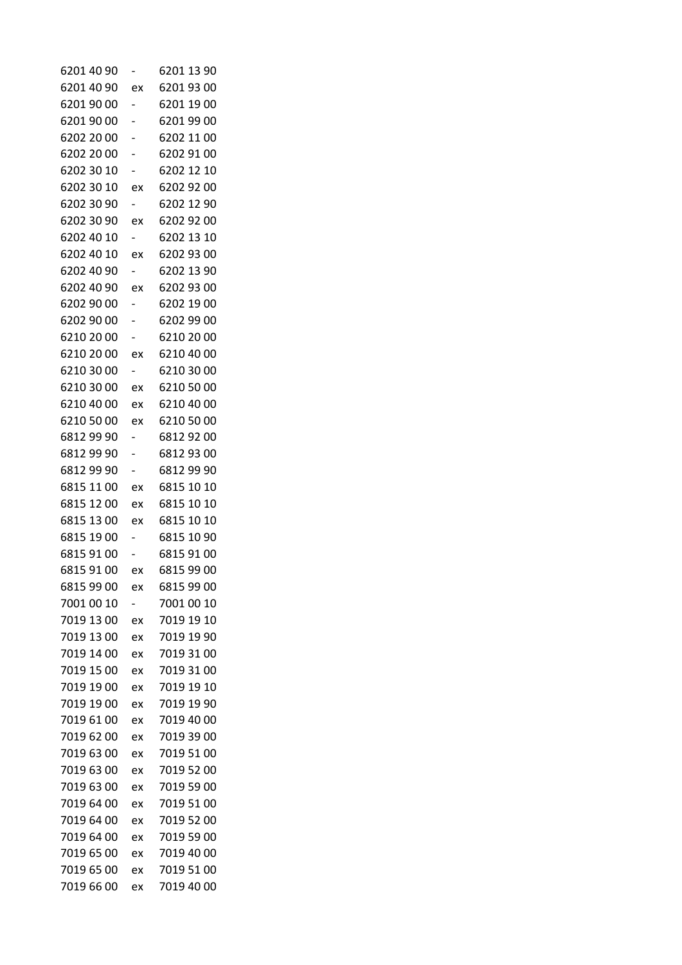| 6201 40 90 |                          | 6201 13 90 |
|------------|--------------------------|------------|
| 6201 40 90 | ex                       | 6201 93 00 |
| 6201 90 00 | $\overline{\phantom{0}}$ | 6201 19 00 |
| 6201 90 00 |                          | 6201 99 00 |
| 6202 20 00 |                          | 6202 11 00 |
| 6202 20 00 |                          | 6202 91 00 |
| 6202 30 10 |                          | 6202 12 10 |
| 6202 30 10 | ex                       | 6202 92 00 |
| 6202 30 90 | Ξ.                       | 6202 12 90 |
| 6202 30 90 | ex                       | 6202 92 00 |
| 6202 40 10 |                          | 6202 13 10 |
| 6202 40 10 | ex                       | 6202 93 00 |
| 6202 40 90 | $\overline{\phantom{0}}$ | 6202 13 90 |
| 6202 40 90 | ex                       | 6202 93 00 |
| 6202 90 00 | -                        | 6202 19 00 |
| 6202 90 00 |                          | 6202 99 00 |
| 6210 20 00 |                          | 6210 20 00 |
| 6210 20 00 | ex                       | 6210 40 00 |
| 6210 30 00 |                          | 6210 30 00 |
| 6210 30 00 | ex                       | 6210 50 00 |
| 6210 40 00 | ex                       | 6210 40 00 |
| 6210 50 00 | ex                       | 6210 50 00 |
| 6812 99 90 |                          | 6812 92 00 |
| 6812 99 90 |                          | 6812 93 00 |
| 6812 99 90 | $\overline{\phantom{0}}$ | 6812 99 90 |
| 6815 11 00 | ex                       | 6815 10 10 |
| 6815 12 00 | ex                       | 6815 10 10 |
| 6815 13 00 | ex                       | 6815 10 10 |
| 6815 19 00 | -                        | 6815 10 90 |
| 6815 91 00 |                          | 6815 91 00 |
| 6815 91 00 | ex                       | 6815 99 00 |
| 6815 99 00 | ex                       | 6815 99 00 |
| 7001 00 10 |                          | 7001 00 10 |
| 7019 13 00 | ex                       | 7019 19 10 |
| 7019 13 00 | ex                       | 7019 19 90 |
| 7019 14 00 | ex                       | 7019 31 00 |
| 7019 15 00 | ex                       | 7019 31 00 |
| 7019 19 00 | ex                       | 7019 19 10 |
| 7019 19 00 | ex                       | 7019 19 90 |
| 7019 61 00 | ex                       | 7019 40 00 |
| 7019 62 00 | ex                       | 7019 39 00 |
| 7019 63 00 | ex                       | 7019 51 00 |
| 7019 63 00 | ex                       | 7019 52 00 |
| 7019 63 00 | ex                       | 7019 59 00 |
| 7019 64 00 | ex                       | 7019 51 00 |
| 7019 64 00 | ex                       | 7019 52 00 |
| 7019 64 00 | ex                       | 7019 59 00 |
| 7019 65 00 | ex                       | 7019 40 00 |
| 7019 65 00 | ex                       | 7019 51 00 |
| 7019 66 00 | ex                       | 7019 40 00 |
|            |                          |            |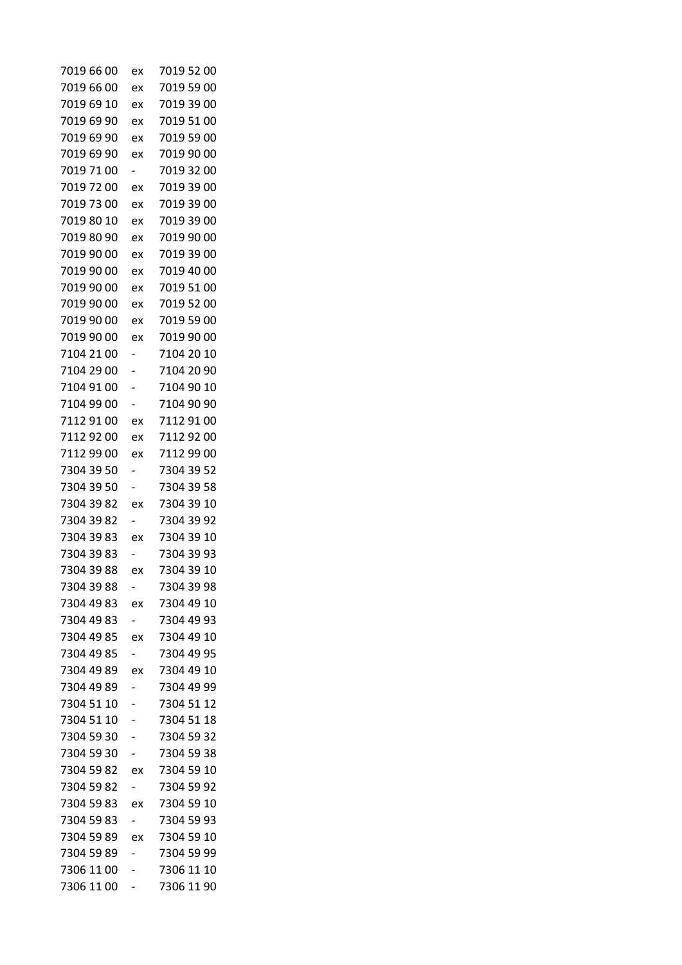| 7019 66 00 | ex                       | 7019 52 00               |
|------------|--------------------------|--------------------------|
| 7019 66 00 | ex                       | 7019 59 00               |
| 7019 69 10 | ex                       | 7019 39 00               |
| 7019 69 90 | ex                       | 7019 51 00               |
| 7019 69 90 | ex                       | 7019 59 00               |
| 7019 69 90 | ex                       | 7019 90 00               |
| 7019 71 00 | $\overline{\phantom{0}}$ | 7019 32 00               |
| 7019 72 00 | ex                       | 7019 39 00               |
| 7019 73 00 | ex                       | 7019 39 00               |
| 7019 80 10 | ex                       | 7019 39 00               |
| 7019 80 90 | ex                       | 7019 90 00               |
| 7019 90 00 | ex                       | 7019 39 00               |
| 7019 90 00 | ex                       | 7019 40 00               |
| 7019 90 00 | ex                       | 7019 51 00               |
| 7019 90 00 | ex                       | 7019 52 00               |
| 7019 90 00 | ex                       | 7019 59 00               |
| 7019 90 00 | ex                       | 7019 90 00               |
| 7104 21 00 |                          | 7104 20 10               |
| 7104 29 00 |                          | 7104 20 90               |
| 7104 91 00 |                          | 7104 90 10               |
| 7104 99 00 |                          | 7104 90 90               |
| 7112 91 00 | ex                       | 7112 91 00               |
| 7112 92 00 | ex                       | 7112 92 00               |
| 7112 99 00 | ex                       | 7112 99 00               |
| 7304 39 50 | -                        | 7304 39 52               |
| 7304 39 50 |                          | 7304 39 58               |
| 7304 39 82 | ex                       | 7304 39 10               |
| 7304 39 82 |                          | 7304 39 92               |
| 7304 39 83 | ex                       | 7304 39 10               |
| 7304 39 83 |                          | 7304 39 93               |
| 7304 39 88 | ex                       | 7304 39 10               |
| 7304 39 88 |                          | 7304 39 98               |
| 7304 49 83 |                          | ex 7304 49 10            |
| 7304 49 83 | $\overline{\phantom{0}}$ | 7304 49 93               |
| 7304 49 85 | ex                       | 7304 49 10               |
| 7304 49 85 | $\overline{\phantom{0}}$ | 7304 49 95               |
| 7304 49 89 | ex                       | 7304 49 10               |
| 7304 49 89 | $\overline{\phantom{0}}$ | 7304 49 99               |
| 7304 51 10 |                          | 7304 51 12               |
| 7304 51 10 | -                        | 7304 51 18               |
| 7304 59 30 |                          | 7304 59 32               |
| 7304 59 30 |                          | 7304 59 38               |
|            |                          | 7304 59 82 ex 7304 59 10 |
| 7304 59 82 | $\overline{\phantom{0}}$ | 7304 59 92               |
|            |                          |                          |
| 7304 59 83 | ex                       | 7304 59 10               |
| 7304 59 83 | $\overline{\phantom{0}}$ | 7304 59 93               |
| 7304 59 89 | ex                       | 7304 59 10               |
| 7304 59 89 |                          | 7304 59 99               |
| 7306 11 00 |                          | 7306 11 10               |
| 7306 11 00 | -                        | 7306 11 90               |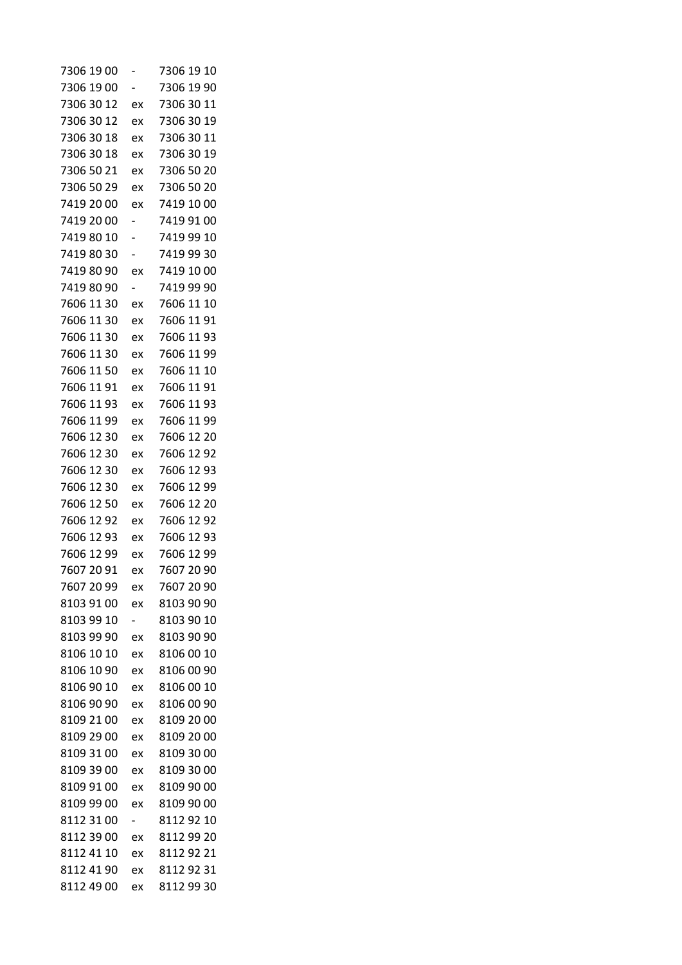| 7306 19 00 |                          | 7306 19 10 |
|------------|--------------------------|------------|
| 7306 19 00 |                          | 7306 19 90 |
| 7306 30 12 | ex                       | 7306 30 11 |
| 7306 30 12 | ex                       | 7306 30 19 |
| 7306 30 18 | ex                       | 7306 30 11 |
| 7306 30 18 | ex                       | 7306 30 19 |
| 7306 50 21 | ex                       | 7306 50 20 |
| 7306 50 29 | ex                       | 7306 50 20 |
| 7419 20 00 | ex                       | 7419 10 00 |
| 7419 20 00 |                          | 7419 91 00 |
| 7419 80 10 |                          | 7419 99 10 |
| 7419 80 30 |                          | 7419 99 30 |
| 7419 80 90 | ex                       | 7419 10 00 |
| 7419 80 90 |                          | 7419 99 90 |
| 7606 11 30 | ex                       | 7606 11 10 |
| 7606 11 30 | ex                       | 7606 11 91 |
| 7606 11 30 | ex                       | 7606 11 93 |
| 7606 11 30 | ex                       | 7606 11 99 |
| 7606 11 50 | ex                       | 7606 11 10 |
| 7606 11 91 | ex                       | 7606 11 91 |
| 7606 11 93 | ex                       | 7606 11 93 |
| 7606 11 99 | ex                       | 7606 11 99 |
| 7606 12 30 | ex                       | 7606 12 20 |
| 7606 12 30 | ex                       | 7606 12 92 |
| 7606 12 30 | ex                       | 7606 12 93 |
| 7606 12 30 | ex                       | 7606 12 99 |
| 7606 12 50 | ex                       | 7606 12 20 |
| 7606 12 92 | ex                       | 7606 12 92 |
| 7606 12 93 | ex                       | 7606 12 93 |
| 7606 12 99 | ex                       | 7606 12 99 |
| 7607 20 91 | ex                       | 7607 20 90 |
| 7607 20 99 | ex                       | 7607 20 90 |
| 8103 91 00 | ex                       | 8103 90 90 |
| 8103 99 10 | $\overline{\phantom{0}}$ | 8103 90 10 |
| 8103 99 90 | ex                       | 8103 90 90 |
| 8106 10 10 | ex                       | 8106 00 10 |
| 8106 10 90 | ex                       | 8106 00 90 |
| 8106 90 10 | ex                       | 8106 00 10 |
| 8106 90 90 | ex                       | 8106 00 90 |
| 8109 21 00 | ex                       | 8109 20 00 |
| 8109 29 00 | ex                       | 8109 20 00 |
| 8109 31 00 | ex                       | 8109 30 00 |
| 8109 39 00 | ex                       | 8109 30 00 |
| 8109 91 00 | ex                       | 8109 90 00 |
| 8109 99 00 | ex                       | 8109 90 00 |
| 8112 31 00 | $\overline{\phantom{0}}$ | 8112 92 10 |
| 8112 39 00 | ex                       | 8112 99 20 |
| 8112 41 10 | ex                       | 8112 92 21 |
| 8112 41 90 | ex                       | 81129231   |
| 8112 49 00 | ex                       | 8112 99 30 |
|            |                          |            |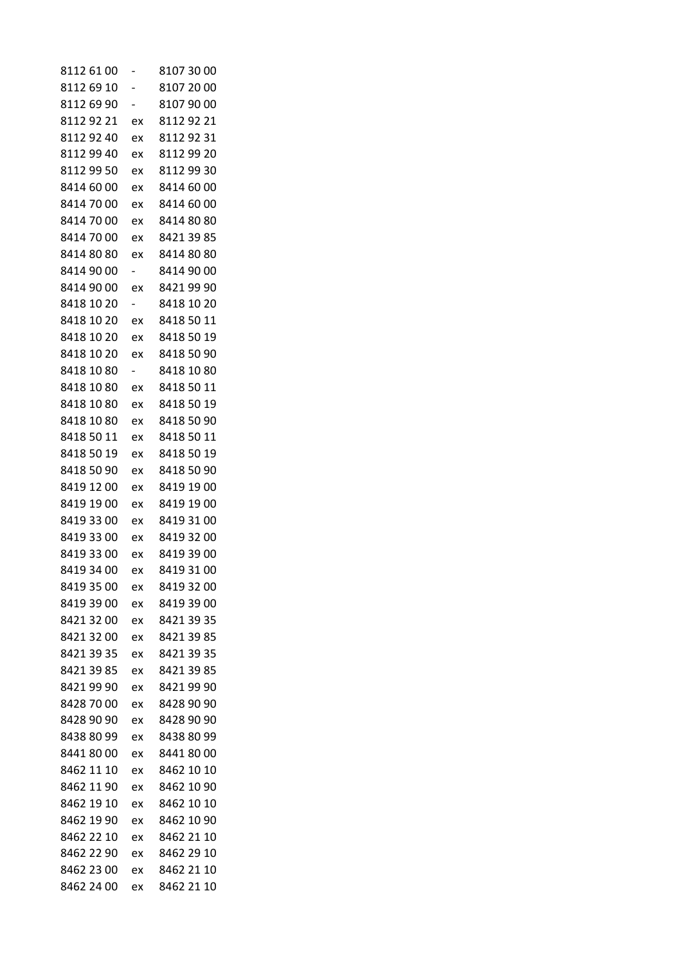| 8112 61 00 |                          | 8107 30 00 |
|------------|--------------------------|------------|
| 8112 69 10 | -                        | 8107 20 00 |
| 8112 69 90 | -                        | 8107 90 00 |
| 81129221   | ex                       | 81129221   |
| 81129240   | ex                       | 8112 92 31 |
| 8112 99 40 | ex                       | 8112 99 20 |
| 8112 99 50 | ex                       | 8112 99 30 |
| 8414 60 00 | ex                       | 8414 60 00 |
| 8414 70 00 | ex                       | 8414 60 00 |
| 8414 70 00 | ex                       | 8414 80 80 |
| 8414 70 00 | ex                       | 8421 39 85 |
| 8414 80 80 | ex                       | 8414 80 80 |
| 8414 90 00 | $\overline{\phantom{0}}$ | 8414 90 00 |
| 8414 90 00 | ex                       | 8421 99 90 |
| 8418 10 20 | -                        | 8418 10 20 |
| 8418 10 20 | ex                       | 8418 50 11 |
| 8418 10 20 | ex                       | 8418 50 19 |
| 8418 10 20 | ex                       | 8418 50 90 |
| 8418 10 80 | -                        | 8418 10 80 |
| 8418 10 80 | ex                       | 8418 50 11 |
| 8418 10 80 | ex                       | 8418 50 19 |
| 8418 10 80 | ex                       | 8418 50 90 |
| 8418 50 11 | ex                       | 8418 50 11 |
| 8418 50 19 | ex                       | 8418 50 19 |
| 8418 50 90 | ex                       | 8418 50 90 |
| 8419 12 00 | ex                       | 8419 19 00 |
| 8419 19 00 | ex                       | 8419 19 00 |
| 8419 33 00 | ex                       | 8419 31 00 |
| 8419 33 00 | ex                       | 8419 32 00 |
| 8419 33 00 | ex                       | 8419 39 00 |
| 8419 34 00 | ex                       | 8419 31 00 |
| 8419 35 00 | ex                       | 8419 32 00 |
| 8419 39 00 | ex                       | 8419 39 00 |
| 8421 32 00 | ex                       | 8421 39 35 |
| 8421 32 00 | ex                       | 8421 39 85 |
| 8421 39 35 | ex                       | 8421 39 35 |
| 8421 39 85 | ex                       | 8421 39 85 |
| 8421 99 90 | ex                       | 8421 99 90 |
| 8428 70 00 | ex                       | 8428 90 90 |
| 8428 90 90 | ex                       | 8428 90 90 |
| 8438 80 99 | ex                       | 8438 80 99 |
| 84418000   | ex                       | 84418000   |
| 8462 11 10 | ex                       | 8462 10 10 |
| 8462 11 90 | ex                       | 8462 10 90 |
| 8462 19 10 | ex                       | 8462 10 10 |
| 8462 19 90 | ex                       | 8462 10 90 |
| 8462 22 10 | ex                       | 8462 21 10 |
| 8462 22 90 | ex                       | 8462 29 10 |
| 8462 23 00 | ex                       | 8462 21 10 |
| 8462 24 00 | ex                       | 8462 21 10 |
|            |                          |            |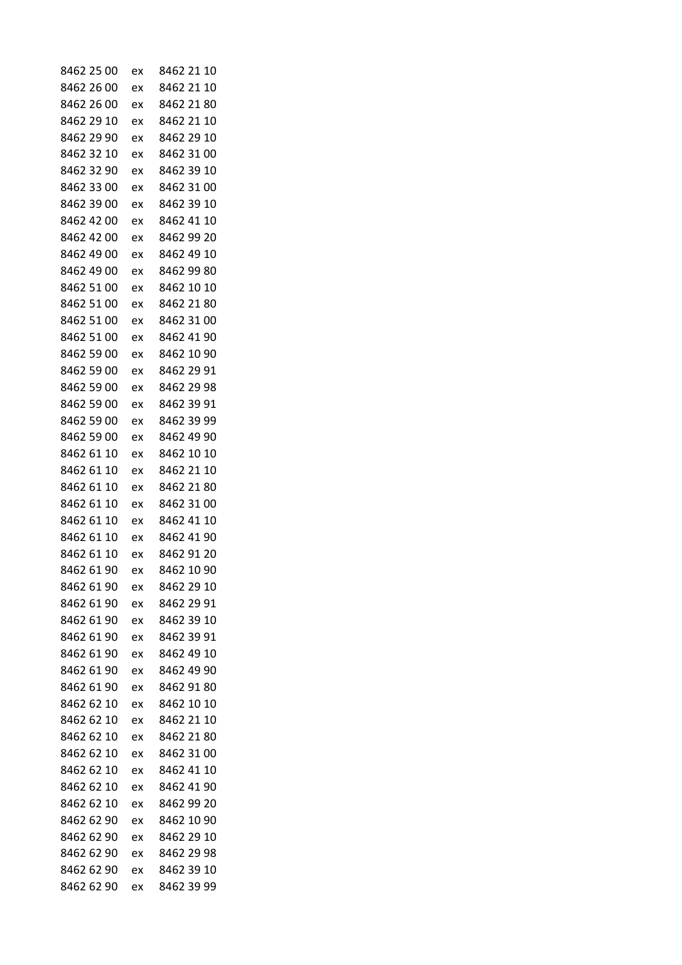| 8462 25 00 | ex | 8462 21<br>10 |
|------------|----|---------------|
| 8462 26 00 | ex | 8462 21 10    |
| 8462 26 00 | ex | 8462 21 80    |
| 8462 29 10 | ex | 8462 21 10    |
| 8462 29 90 | ex | 8462 29 10    |
| 8462 32 10 | ex | 8462 31 00    |
| 8462 32 90 | ex | 8462 39 10    |
| 8462 33 00 | ex | 8462 31 00    |
| 8462 39 00 | ex | 8462 39 10    |
| 8462 42 00 | ex | 8462 41 10    |
| 8462 42 00 | ex | 8462 99 20    |
| 8462 49 00 | ex | 8462 49 10    |
| 8462 49 00 | ex | 8462 99 80    |
| 8462 51 00 | ex | 8462 10 10    |
| 8462 51 00 | ex | 8462 21 80    |
| 8462 51 00 | ex | 8462 31 00    |
| 8462 51 00 | ex | 8462 41 90    |
| 8462 59 00 | ex | 8462 10 90    |
| 8462 59 00 | ex | 8462 29 91    |
| 8462 59 00 | ex | 8462 29 98    |
| 8462 59 00 | ex | 8462 39 91    |
| 8462 59 00 | ex | 8462 39 99    |
| 8462 59 00 | ex | 8462 49 90    |
| 8462 61 10 | ex | 8462 10 10    |
| 8462 61 10 | ex | 8462 21 10    |
| 8462 61 10 | ex | 8462 21 80    |
| 8462 61 10 | ex | 8462 31 00    |
| 8462 61 10 | ex | 8462 41 10    |
| 8462 61 10 | ex | 8462 41 90    |
| 8462 61 10 | ex | 8462 91 20    |
| 8462 61 90 | ex | 8462 10 90    |
| 8462 61 90 | ex | 8462 29 10    |
| 8462 61 90 | ex | 8462 29 91    |
| 8462 61 90 | ex | 8462 39 10    |
| 8462 61 90 | ex | 8462 39 91    |
| 8462 61 90 | ex | 8462 49 10    |
| 8462 61 90 | ex | 8462 49 90    |
| 8462 61 90 | ex | 8462 91 80    |
| 8462 62 10 | ex | 8462 10 10    |
| 8462 62 10 | ex | 8462 21 10    |
| 8462 62 10 | ex | 8462 21 80    |
| 8462 62 10 | ex | 8462 31 00    |
| 8462 62 10 | ex | 8462 41 10    |
| 8462 62 10 | ex | 8462 41 90    |
| 8462 62 10 | ex | 8462 99 20    |
| 8462 62 90 | ex | 8462 10 90    |
| 8462 62 90 | ex | 8462 29 10    |
| 8462 62 90 | ex | 8462 29 98    |
| 8462 62 90 | ex | 8462 39 10    |
| 8462 62 90 | ex | 8462 39 99    |
|            |    |               |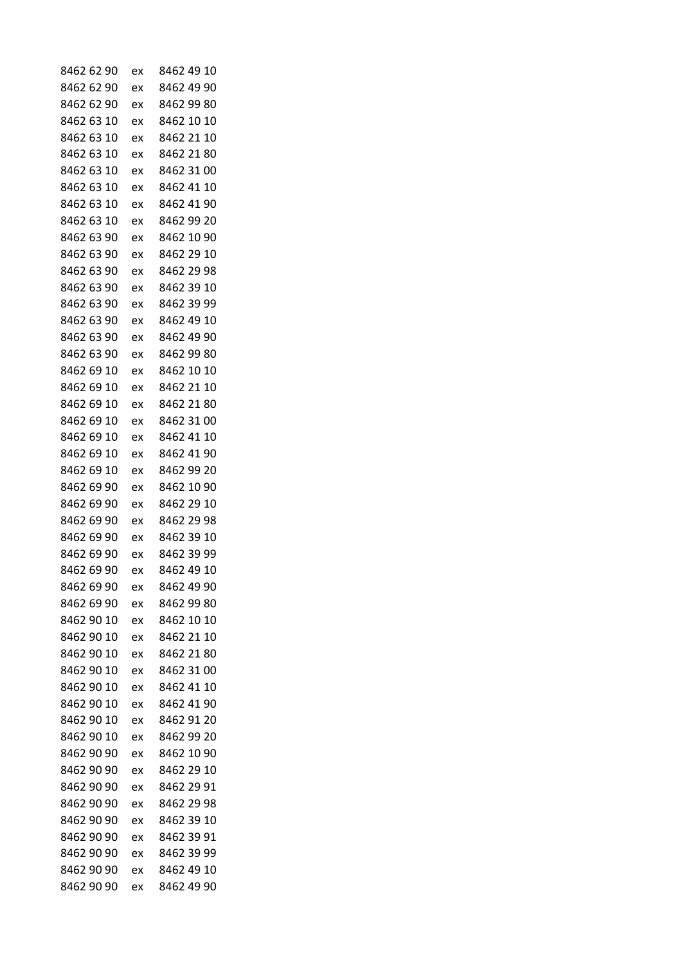| 8462 62 90               | ex | 8462 49 10               |
|--------------------------|----|--------------------------|
| 8462 62 90               | ex | 8462 49 90               |
| 8462 62 90               | ex | 8462 99 80               |
| 8462 63 10               | ex | 8462 10 10               |
| 8462 63 10               | ex | 8462 21 10               |
| 8462 63 10               | ex | 8462 21 80               |
| 8462 63 10               | ex | 8462 31 00               |
| 8462 63 10               | ex | 8462 41 10               |
| 8462 63 10               | ex | 8462 41 90               |
| 8462 63 10               | ex | 8462 99 20               |
| 8462 63 90               | ex | 8462 10 90               |
| 8462 63 90               | ex | 8462 29 10               |
| 8462 63 90               | ex | 8462 29 98               |
| 8462 63 90               | ex | 8462 39 10               |
| 8462 63 90               | ex | 8462 39 99               |
| 8462 63 90               | ex | 8462 49 10               |
| 8462 63 90               | ex | 8462 49 90               |
| 8462 63 90               | ex | 8462 99 80               |
| 8462 69 10               | ex | 8462 10 10               |
| 8462 69 10               | ex | 8462 21 10               |
| 8462 69 10               | ex | 8462 21 80               |
| 8462 69 10               | ex | 8462 31 00               |
| 8462 69 10               | ex | 8462 41 10               |
| 8462 69<br>10            | ex | 8462 41 90               |
| 8462 69 10               | ex | 8462 99 20               |
| 8462 69 90               | ex | 8462 10 90               |
| 8462 69 90               | ex | 8462 29 10               |
| 8462 69 90               | ex | 8462 29 98               |
| 8462 69 90               | ex | 8462 39 10               |
| 8462 69 90               |    |                          |
|                          | ex | 8462 39 99<br>8462 49 10 |
| 8462 69 90<br>8462 69 90 | ex | 8462 49 90               |
|                          | ex |                          |
| 8462 69 90               | ex | 8462 99 80               |
| 8462 90 10               | ex | 8462 10 10               |
| 8462 90 10               | ex | 8462 21 10               |
| 8462 90 10               | ex | 8462 21 80               |
| 8462 90 10               | ex | 8462 31 00               |
| 8462 90 10               | ex | 8462 41 10               |
| 8462 90 10               | ex | 8462 41 90               |
| 8462 90 10               | ex | 8462 91 20               |
| 8462 90 10               | ex | 8462 99 20               |
| 8462 90 90               | ex | 8462 10 90               |
| 8462 90 90               | ex | 8462 29 10               |
| 8462 90 90               | ex | 8462 29 91               |
| 8462 90 90               | ex | 8462 29 98               |
| 8462 90 90               | ex | 8462 39 10               |
| 8462 90 90               | ex | 8462 39 91               |
| 8462 90 90               | ex | 8462 39 99               |
| 8462 90 90               | ex | 8462 49 10               |
| 8462 90 90               | ex | 8462 49 90               |
|                          |    |                          |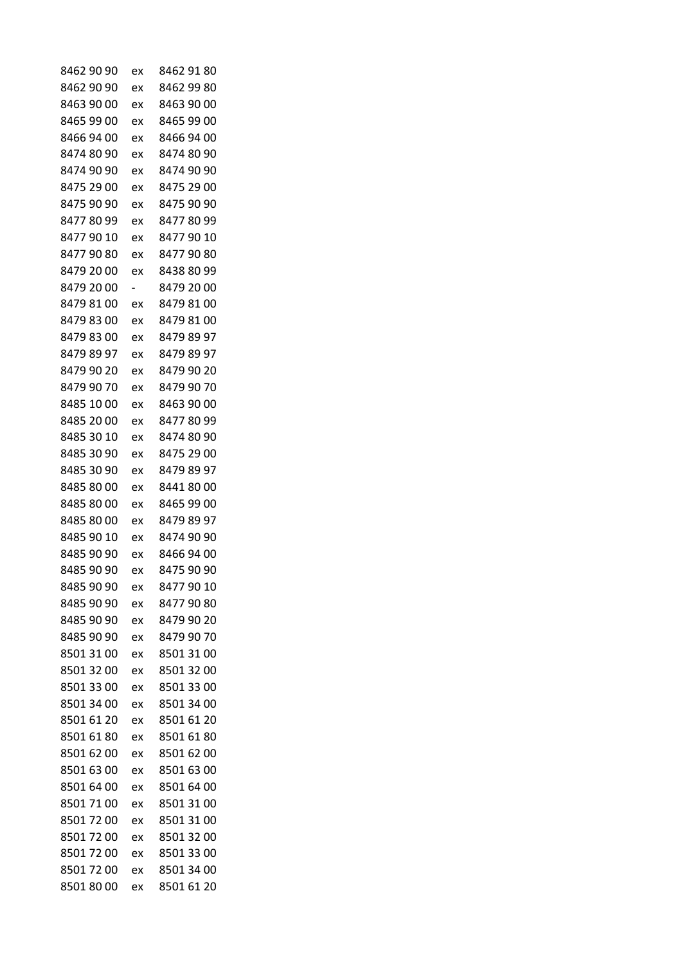| 8462 90 90 | ex | 8462 91 80 |
|------------|----|------------|
| 8462 90 90 | ex | 8462 99 80 |
| 8463 90 00 | ex | 8463 90 00 |
| 8465 99 00 | ex | 8465 99 00 |
| 8466 94 00 | ex | 8466 94 00 |
| 8474 80 90 | ex | 8474 80 90 |
| 8474 90 90 | ex | 8474 90 90 |
| 8475 29 00 | ex | 8475 29 00 |
| 8475 90 90 | ex | 8475 90 90 |
| 84778099   | ex | 8477 80 99 |
| 8477 90 10 | ex | 8477 90 10 |
| 84779080   | ex | 8477 90 80 |
| 8479 20 00 | ex | 8438 80 99 |
| 8479 20 00 | -  | 8479 20 00 |
| 8479 81 00 | ex | 8479 81 00 |
| 8479 83 00 | ex | 8479 81 00 |
| 8479 83 00 | ex | 8479 89 97 |
| 8479 89 97 | ex | 8479 89 97 |
| 8479 90 20 | ex | 8479 90 20 |
| 8479 90 70 | ex | 8479 90 70 |
| 8485 10 00 | ex | 8463 90 00 |
| 8485 20 00 | ex | 8477 80 99 |
| 8485 30 10 | ex | 8474 80 90 |
| 8485 30 90 | ex | 8475 29 00 |
| 8485 30 90 | ex | 8479 89 97 |
| 8485 80 00 | ex | 84418000   |
| 8485 80 00 | ex | 8465 99 00 |
| 8485 80 00 | ex | 8479 89 97 |
| 8485 90 10 | ex | 8474 90 90 |
| 8485 90 90 | ex | 8466 94 00 |
| 8485 90 90 | ex | 8475 90 90 |
| 8485 90 90 | ex | 8477 90 10 |
| 8485 90 90 | ex | 84779080   |
| 8485 90 90 | ex | 8479 90 20 |
| 8485 90 90 | ex | 8479 90 70 |
| 8501 31 00 | ex | 8501 31 00 |
| 8501 32 00 | ex | 8501 32 00 |
| 8501 33 00 | ex | 8501 33 00 |
| 8501 34 00 | ex | 8501 34 00 |
| 8501 61 20 | ex | 8501 61 20 |
| 8501 61 80 | ex | 8501 61 80 |
| 8501 62 00 | ex | 8501 62 00 |
| 8501 63 00 | ex | 8501 63 00 |
| 8501 64 00 | ex | 8501 64 00 |
| 8501 71 00 | ex | 8501 31 00 |
| 8501 72 00 | ex | 8501 31 00 |
| 8501 72 00 | ex | 8501 32 00 |
| 8501 72 00 | ex | 8501 33 00 |
| 8501 72 00 | ex | 8501 34 00 |
| 85018000   | ex | 8501 61 20 |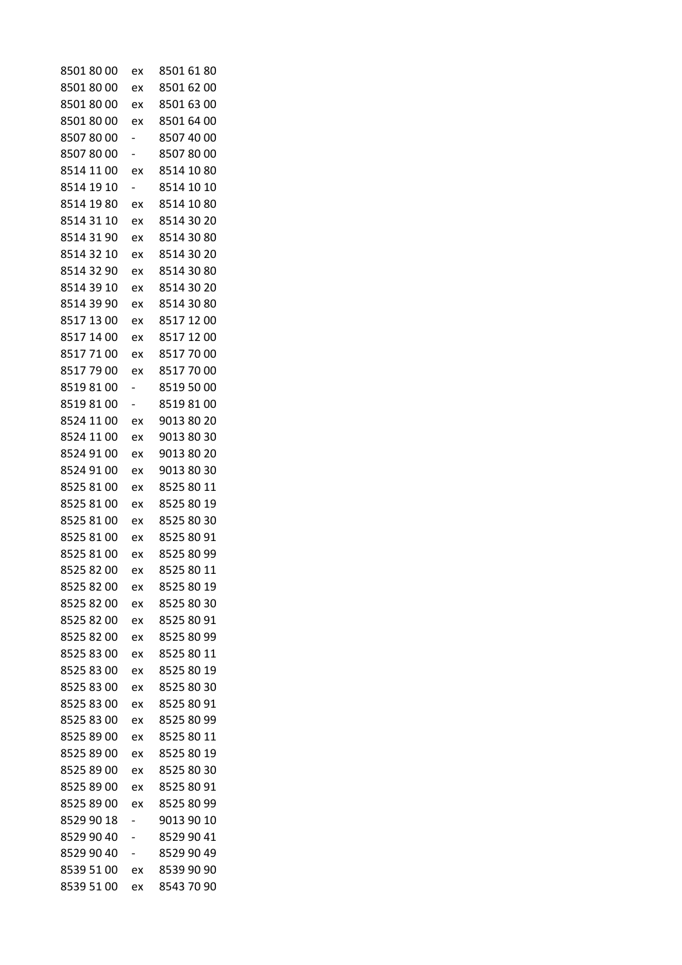| 85018000   | ex                       | 8501 61 80 |
|------------|--------------------------|------------|
| 85018000   | ex                       | 8501 62 00 |
| 85018000   | ex                       | 8501 63 00 |
| 85018000   | ex                       | 8501 64 00 |
| 8507 80 00 |                          | 8507 40 00 |
| 85078000   |                          | 8507 80 00 |
| 8514 11 00 | ex                       | 8514 10 80 |
| 8514 19 10 | $\overline{\phantom{0}}$ | 8514 10 10 |
| 8514 19 80 | ex                       | 8514 10 80 |
| 8514 31 10 | ex                       | 8514 30 20 |
| 8514 31 90 | ex                       | 8514 30 80 |
| 8514 32 10 | ex                       | 8514 30 20 |
| 8514 32 90 | ex                       | 8514 30 80 |
| 8514 39 10 | ex                       | 8514 30 20 |
| 8514 39 90 | ex                       | 8514 30 80 |
| 8517 13 00 | ex                       | 8517 12 00 |
| 8517 14 00 | ex                       | 8517 12 00 |
| 85177100   | ex                       | 8517 70 00 |
| 85177900   | ex                       | 8517 70 00 |
| 85198100   | -                        | 8519 50 00 |
| 85198100   |                          | 8519 81 00 |
| 8524 11 00 | ex                       | 9013 80 20 |
| 8524 11 00 | ex                       | 9013 80 30 |
| 8524 91 00 | ex                       | 9013 80 20 |
| 8524 91 00 | ex                       | 9013 80 30 |
| 8525 81 00 | ex                       | 8525 80 11 |
| 8525 81 00 | ex                       | 8525 80 19 |
| 8525 81 00 | ex                       | 8525 80 30 |
| 8525 81 00 | ex                       | 8525 80 91 |
| 8525 81 00 | ex                       | 8525 80 99 |
| 8525 82 00 | ex                       | 8525 80 11 |
| 8525 82 00 | ex                       | 8525 80 19 |
| 8525 82 00 | ex                       | 8525 80 30 |
| 8525 82 00 | ex                       | 8525 80 91 |
| 8525 82 00 | ex                       | 8525 80 99 |
| 8525 83 00 | ex                       | 8525 80 11 |
| 8525 83 00 | ex                       | 8525 80 19 |
| 8525 83 00 | ex                       | 8525 80 30 |
| 8525 83 00 | ex                       | 8525 80 91 |
| 8525 83 00 | ex                       | 8525 80 99 |
| 8525 89 00 | ex                       | 8525 80 11 |
| 8525 89 00 | ex                       | 8525 80 19 |
| 8525 89 00 | ex                       | 8525 80 30 |
| 8525 89 00 | ex                       | 8525 80 91 |
| 8525 89 00 | ex                       | 8525 80 99 |
| 8529 90 18 | -                        | 9013 90 10 |
| 8529 90 40 |                          | 8529 90 41 |
| 8529 90 40 |                          | 8529 90 49 |
| 8539 51 00 |                          | 8539 90 90 |
| 8539 51 00 | ex<br>ex                 | 8543 70 90 |
|            |                          |            |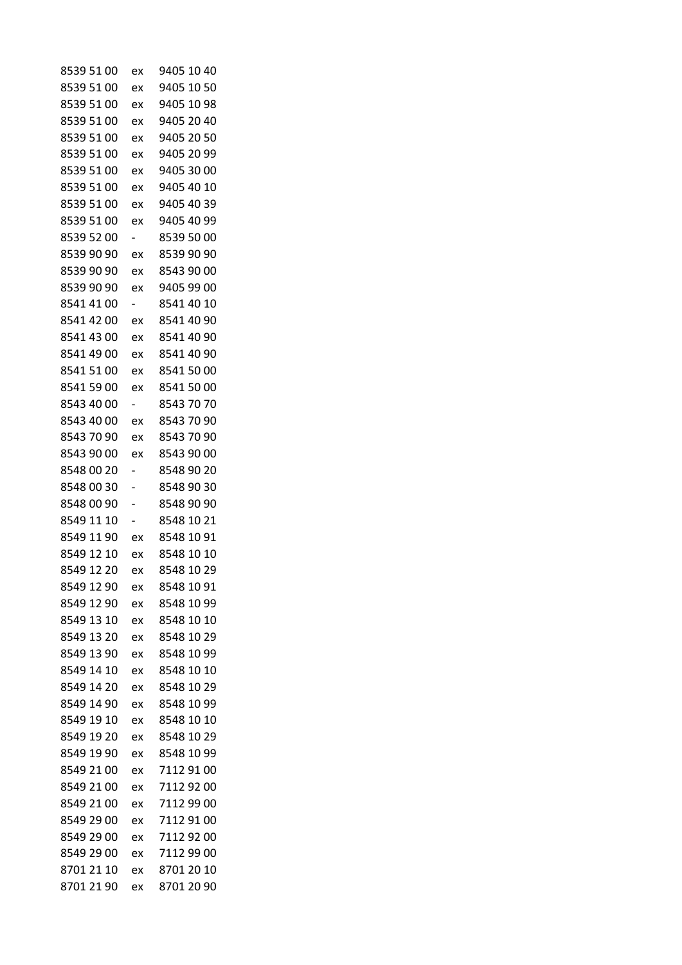| 8539 51 00 | ex | 9405 10 40 |
|------------|----|------------|
| 8539 51 00 | ex | 9405 10 50 |
| 8539 51 00 | ex | 9405 10 98 |
| 8539 51 00 | ex | 9405 20 40 |
| 8539 51 00 | ex | 9405 20 50 |
| 8539 51 00 | ex | 9405 20 99 |
| 8539 51 00 | ex | 9405 30 00 |
| 8539 51 00 | ex | 9405 40 10 |
| 8539 51 00 | ex | 9405 40 39 |
| 8539 51 00 | ex | 9405 40 99 |
| 8539 52 00 |    | 8539 50 00 |
| 8539 90 90 | ex | 8539 90 90 |
| 8539 90 90 | ex | 8543 90 00 |
| 8539 90 90 | ex | 9405 99 00 |
| 8541 41 00 | -  | 8541 40 10 |
| 8541 42 00 | ex | 8541 40 90 |
| 8541 43 00 | ex | 8541 40 90 |
| 8541 49 00 | ex | 8541 40 90 |
| 8541 51 00 | ex | 8541 50 00 |
| 8541 59 00 | ex | 8541 50 00 |
| 8543 40 00 | -  | 8543 70 70 |
| 8543 40 00 | ex | 8543 70 90 |
| 8543 70 90 | ex | 8543 70 90 |
| 8543 90 00 | ex | 8543 90 00 |
| 8548 00 20 | -  | 8548 90 20 |
| 8548 00 30 |    | 8548 90 30 |
| 8548 00 90 |    | 8548 90 90 |
| 8549 11 10 | -  | 8548 10 21 |
| 8549 11 90 | ex | 8548 10 91 |
| 8549 12 10 | ex | 8548 10 10 |
| 8549 12 20 | ex | 8548 10 29 |
| 8549 12 90 | ex | 8548 10 91 |
| 8549 12 90 | ex | 8548 10 99 |
| 8549 13 10 | ex | 8548 10 10 |
| 8549 13 20 | ex | 8548 10 29 |
| 8549 13 90 | ex | 8548 10 99 |
| 8549 14 10 | ex | 8548 10 10 |
| 8549 14 20 | ex | 8548 10 29 |
| 8549 14 90 | ex | 8548 10 99 |
| 8549 19 10 | ex | 8548 10 10 |
| 8549 19 20 | ex | 8548 10 29 |
| 8549 19 90 | ex | 8548 10 99 |
| 8549 21 00 | ex | 7112 91 00 |
| 8549 21 00 | ex | 7112 92 00 |
| 8549 21 00 | ex | 7112 99 00 |
| 8549 29 00 | ex | 7112 91 00 |
| 8549 29 00 | ex | 7112 92 00 |
| 8549 29 00 | ex | 7112 99 00 |
| 8701 21 10 | ex | 8701 20 10 |
| 8701 21 90 | ex | 8701 20 90 |
|            |    |            |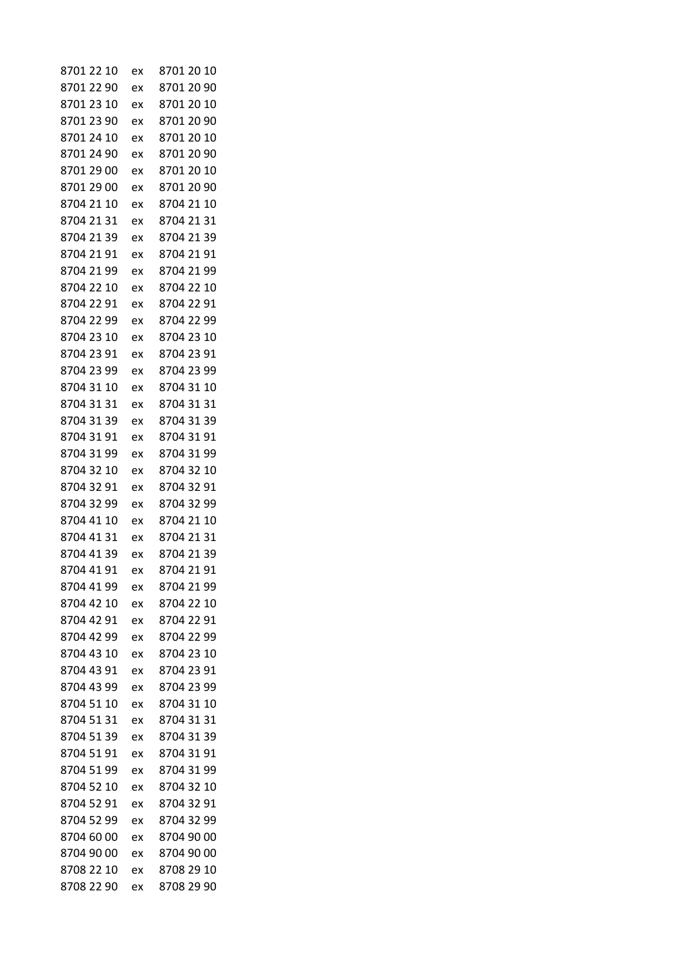| 8701 22 10 | ex | 8701 20 10 |
|------------|----|------------|
| 8701 22 90 | ex | 8701 20 90 |
| 8701 23 10 | ex | 8701 20 10 |
| 8701 23 90 | ex | 8701 20 90 |
| 8701 24 10 | ex | 8701 20 10 |
| 8701 24 90 | ex | 8701 20 90 |
| 8701 29 00 | ex | 8701 20 10 |
| 8701 29 00 | ex | 8701 20 90 |
| 8704 21 10 | ex | 8704 21 10 |
| 8704 21 31 | ex | 8704 21 31 |
| 8704 21 39 | ex | 8704 21 39 |
| 8704 21 91 | ex | 8704 21 91 |
| 8704 21 99 | ex | 8704 21 99 |
| 8704 22 10 | ex | 8704 22 10 |
| 8704 22 91 | ex | 8704 22 91 |
| 8704 22 99 | ex | 8704 22 99 |
| 8704 23 10 | ex | 8704 23 10 |
| 8704 23 91 | ex | 8704 23 91 |
| 8704 23 99 | ex | 8704 23 99 |
| 8704 31 10 | ex | 8704 31 10 |
| 8704 31 31 | ex | 8704 31 31 |
| 8704 31 39 | ex | 8704 31 39 |
| 8704 31 91 | ex | 8704 31 91 |
| 8704 31 99 | ex | 8704 31 99 |
| 8704 32 10 | ex | 8704 32 10 |
| 8704 32 91 | ex | 8704 32 91 |
| 8704 32 99 | ex | 8704 32 99 |
| 8704 41 10 | ex | 8704 21 10 |
| 8704 41 31 | ex | 8704 21 31 |
| 8704 41 39 | ex | 8704 21 39 |
| 8704 41 91 | ex | 8704 21 91 |
| 8704 41 99 | ex | 8704 21 99 |
| 8704 42 10 | ex | 8704 22 10 |
| 8704 42 91 | ex | 8704 22 91 |
| 8704 42 99 | ex | 8704 22 99 |
| 8704 43 10 | ex | 8704 23 10 |
| 8704 43 91 | ex | 8704 23 91 |
| 8704 43 99 | ex | 8704 23 99 |
| 8704 51 10 | ex | 8704 31 10 |
| 8704 51 31 | ex | 8704 31 31 |
| 8704 51 39 | ex | 8704 31 39 |
| 8704 51 91 | ex | 8704 31 91 |
| 8704 51 99 | ex | 8704 31 99 |
| 8704 52 10 | ex | 8704 32 10 |
| 8704 52 91 | ex | 8704 32 91 |
| 8704 52 99 | ex | 8704 32 99 |
| 8704 60 00 | ex | 8704 90 00 |
| 8704 90 00 | ex | 8704 90 00 |
| 8708 22 10 | ex | 8708 29 10 |
| 8708 22 90 | ex | 8708 29 90 |
|            |    |            |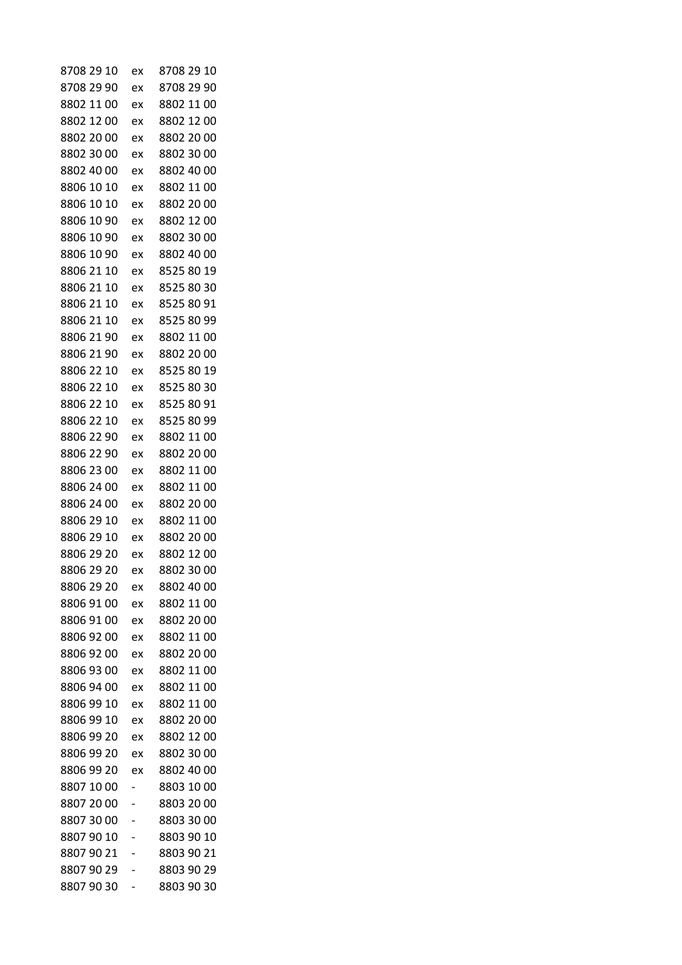| 8708 29 10 | ex | 8708 29 10 |
|------------|----|------------|
| 8708 29 90 | ex | 8708 29 90 |
| 8802 11 00 | ex | 8802 11 00 |
| 8802 12 00 | ex | 8802 12 00 |
| 8802 20 00 | ex | 8802 20 00 |
| 8802 30 00 | ex | 8802 30 00 |
| 8802 40 00 | ex | 8802 40 00 |
| 8806 10 10 | ex | 8802 11 00 |
| 8806 10 10 | ex | 8802 20 00 |
| 8806 10 90 | ex | 8802 12 00 |
| 8806 10 90 | ex | 8802 30 00 |
| 8806 10 90 | ex | 8802 40 00 |
| 8806 21 10 | ex | 8525 80 19 |
| 8806 21 10 | ex | 8525 80 30 |
| 8806 21 10 | ex | 8525 80 91 |
| 8806 21 10 | ex | 8525 80 99 |
| 8806 21 90 | ex | 8802 11 00 |
| 8806 21 90 | ex | 8802 20 00 |
| 8806 22 10 | ex | 8525 80 19 |
| 8806 22 10 | ex | 8525 80 30 |
| 8806 22 10 | ex | 8525 80 91 |
| 8806 22 10 | ex | 8525 80 99 |
| 8806 22 90 | ex | 8802 11 00 |
| 8806 22 90 | ex | 8802 20 00 |
| 8806 23 00 | ex | 8802 11 00 |
| 8806 24 00 | ex | 8802 11 00 |
| 8806 24 00 | ex | 8802 20 00 |
| 8806 29 10 | ex | 8802 11 00 |
| 8806 29 10 | ex | 8802 20 00 |
| 8806 29 20 | ex | 8802 12 00 |
| 8806 29 20 | ex | 8802 30 00 |
| 8806 29 20 | ex | 8802 40 00 |
| 8806 91 00 | ex | 8802 11 00 |
| 8806 91 00 | ex | 8802 20 00 |
| 8806 92 00 | ex | 8802 11 00 |
| 8806 92 00 | ex | 8802 20 00 |
| 8806 93 00 | ex | 8802 11 00 |
| 8806 94 00 | ex | 8802 11 00 |
| 8806 99 10 | ex | 8802 11 00 |
| 8806 99 10 | ex | 8802 20 00 |
| 8806 99 20 | ex | 8802 12 00 |
| 8806 99 20 | ex | 8802 30 00 |
| 8806 99 20 | ex | 8802 40 00 |
| 8807 10 00 |    | 8803 10 00 |
| 8807 20 00 |    | 8803 20 00 |
| 8807 30 00 |    | 8803 30 00 |
| 88079010   |    | 8803 90 10 |
| 8807 90 21 |    | 8803 90 21 |
| 8807 90 29 |    | 8803 90 29 |
| 8807 90 30 |    | 8803 90 30 |
|            |    |            |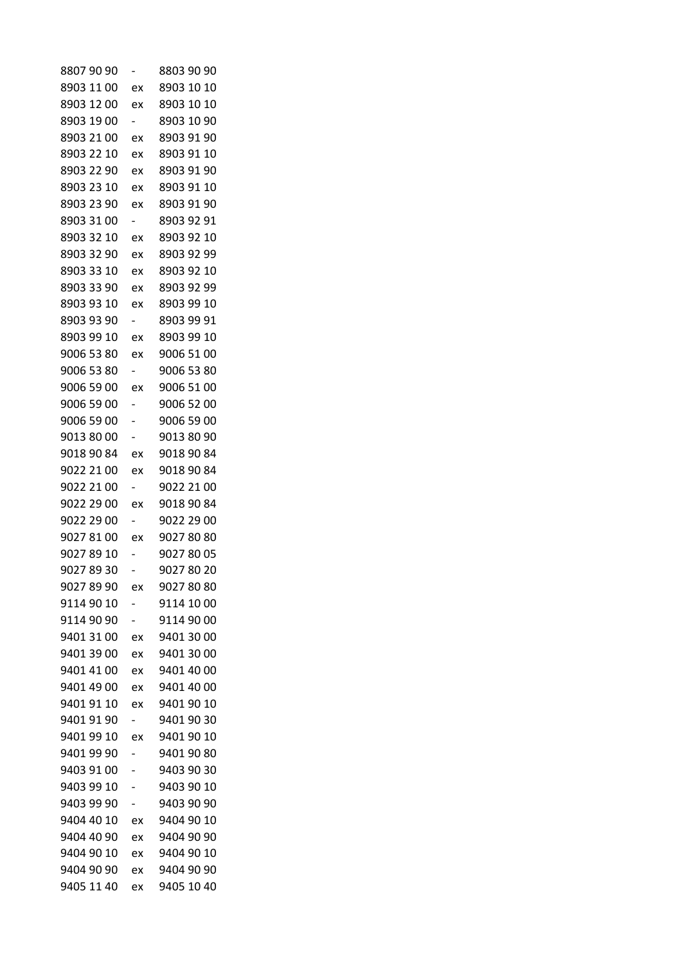| 8807 90 90 |                          | 8803 90 90 |
|------------|--------------------------|------------|
| 8903 11 00 | ex                       | 8903 10 10 |
| 8903 12 00 | ex                       | 8903 10 10 |
| 8903 19 00 |                          | 8903 10 90 |
| 8903 21 00 | ex                       | 8903 91 90 |
| 8903 22 10 | ex                       | 8903 91 10 |
| 8903 22 90 | ex                       | 8903 91 90 |
| 8903 23 10 | ex                       | 8903 91 10 |
| 8903 23 90 | ex                       | 8903 91 90 |
| 8903 31 00 |                          | 8903 92 91 |
| 8903 32 10 | ex                       | 8903 92 10 |
| 8903 32 90 | ex                       | 8903 92 99 |
| 8903 33 10 | ex                       | 8903 92 10 |
| 8903 33 90 | ex                       | 8903 92 99 |
| 8903 93 10 | ex                       | 8903 99 10 |
| 8903 93 90 | $\overline{\phantom{0}}$ | 8903 99 91 |
| 8903 99 10 | ex                       | 8903 99 10 |
| 9006 53 80 | ex                       | 9006 51 00 |
| 9006 53 80 | $\overline{\phantom{0}}$ | 9006 53 80 |
| 9006 59 00 | ex                       | 9006 51 00 |
| 9006 59 00 | Ξ.                       | 9006 52 00 |
| 9006 59 00 | -                        | 9006 59 00 |
| 9013 80 00 |                          | 9013 80 90 |
| 9018 90 84 | ex                       | 9018 90 84 |
| 9022 21 00 | ex                       | 9018 90 84 |
| 9022 21 00 | $\overline{\phantom{0}}$ | 9022 21 00 |
| 9022 29 00 | ex                       | 9018 90 84 |
| 9022 29 00 | Ξ.                       | 9022 29 00 |
| 9027 81 00 | ex                       | 9027 80 80 |
| 9027 89 10 |                          | 9027 80 05 |
| 9027 89 30 |                          | 9027 80 20 |
| 9027 89 90 | ex                       | 9027 80 80 |
| 9114 90 10 |                          | 9114 10 00 |
| 9114 90 90 |                          | 9114 90 00 |
| 9401 31 00 | ex                       | 9401 30 00 |
| 9401 39 00 | ex                       | 9401 30 00 |
| 9401 41 00 | ex                       | 9401 40 00 |
| 9401 49 00 | ex                       | 9401 40 00 |
| 9401 91 10 | ex                       | 9401 90 10 |
| 9401 91 90 | -                        | 9401 90 30 |
| 9401 99 10 | ex                       | 9401 90 10 |
| 9401 99 90 |                          | 9401 90 80 |
| 9403 91 00 |                          | 9403 90 30 |
| 9403 99 10 |                          | 9403 90 10 |
| 9403 99 90 | -                        | 9403 90 90 |
| 9404 40 10 | ex                       | 9404 90 10 |
| 9404 40 90 | ex                       | 9404 90 90 |
| 9404 90 10 | ex                       | 9404 90 10 |
| 9404 90 90 | ex                       | 9404 90 90 |
| 9405 11 40 | ex                       | 9405 10 40 |
|            |                          |            |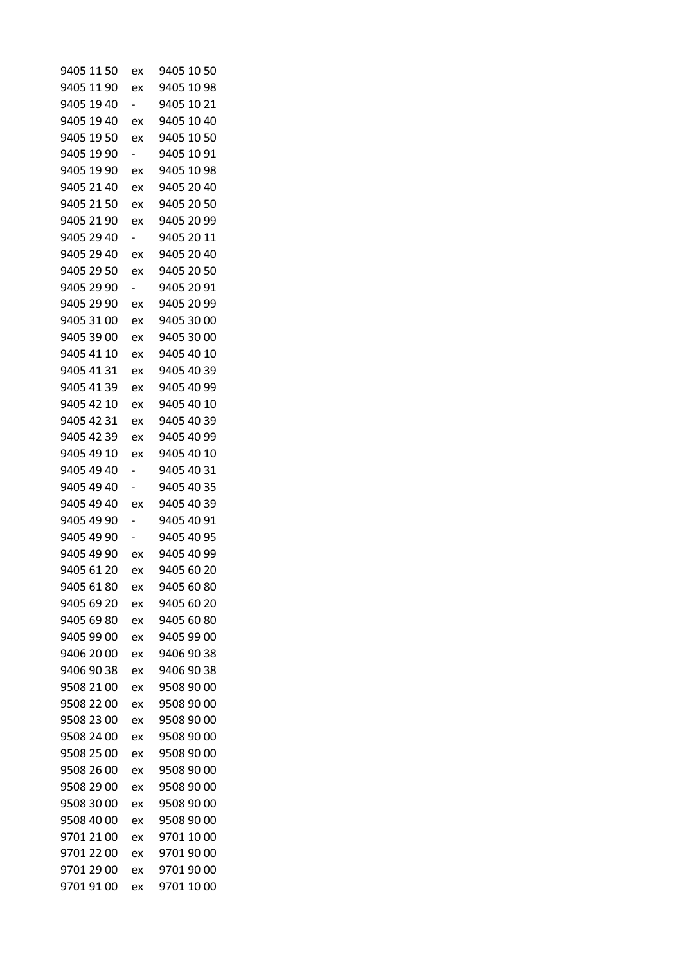| 9405 11 50 | ex                       | 9405 10 50 |
|------------|--------------------------|------------|
| 9405 11 90 | ex                       | 9405 10 98 |
| 9405 19 40 | $\overline{\phantom{0}}$ | 9405 10 21 |
| 9405 19 40 | ex                       | 9405 10 40 |
| 9405 19 50 | ex                       | 9405 10 50 |
| 9405 19 90 | $\overline{\phantom{0}}$ | 9405 10 91 |
| 9405 19 90 | ex                       | 9405 10 98 |
| 9405 21 40 | ex                       | 9405 20 40 |
| 9405 21 50 | ex                       | 9405 20 50 |
| 9405 21 90 | ex                       | 9405 20 99 |
| 9405 29 40 |                          | 9405 20 11 |
| 9405 29 40 | ex                       | 9405 20 40 |
| 9405 29 50 | ex                       | 9405 20 50 |
| 9405 29 90 |                          | 9405 20 91 |
| 9405 29 90 | ex                       | 9405 20 99 |
| 9405 31 00 | ex                       | 9405 30 00 |
| 9405 39 00 | ex                       | 9405 30 00 |
| 9405 41 10 | ex                       | 9405 40 10 |
| 9405 41 31 | ex                       | 9405 40 39 |
| 9405 41 39 | ex                       | 9405 40 99 |
| 9405 42 10 | ex                       | 9405 40 10 |
| 9405 42 31 | ex                       | 9405 40 39 |
| 9405 42 39 | ex                       | 9405 40 99 |
| 9405 49 10 | ex                       | 9405 40 10 |
| 9405 49 40 | $\overline{\phantom{a}}$ | 9405 40 31 |
| 9405 49 40 |                          | 9405 40 35 |
| 9405 49 40 | ex                       | 9405 40 39 |
| 9405 49 90 |                          | 9405 40 91 |
| 9405 49 90 |                          | 9405 40 95 |
| 9405 49 90 | ex                       | 9405 40 99 |
| 9405 61 20 | ex                       | 9405 60 20 |
| 9405 61 80 | ex                       | 9405 60 80 |
| 9405 69 20 | ex                       | 9405 60 20 |
| 9405 69 80 | ex                       | 9405 60 80 |
| 9405 99 00 | ex                       | 9405 99 00 |
| 9406 20 00 | ex                       | 9406 90 38 |
| 9406 90 38 | ex                       | 9406 90 38 |
| 9508 21 00 | ex                       | 9508 90 00 |
| 9508 22 00 | ex                       | 9508 90 00 |
| 9508 23 00 | ex                       | 9508 90 00 |
| 9508 24 00 | ex                       | 9508 90 00 |
| 9508 25 00 | ex                       | 9508 90 00 |
| 9508 26 00 | ex                       | 9508 90 00 |
| 9508 29 00 | ex                       | 9508 90 00 |
| 9508 30 00 | ex                       | 9508 90 00 |
| 9508 40 00 | ex                       | 9508 90 00 |
| 9701 21 00 | ex                       | 9701 10 00 |
| 9701 22 00 | ex                       | 9701 90 00 |
| 9701 29 00 | ex                       | 9701 90 00 |
| 9701 91 00 | ex                       | 9701 10 00 |
|            |                          |            |